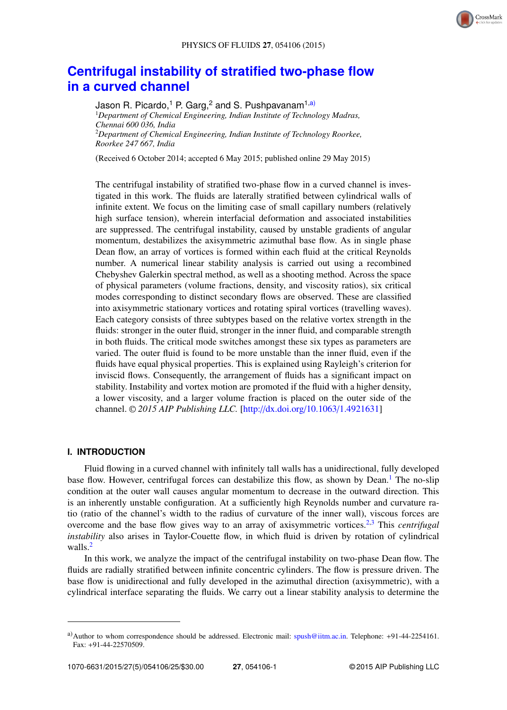

# **Centrifugal instability of stratified two-phase flow in a curved channel**

Jason R. Picardo,<sup>1</sup> P. Garg,<sup>2</sup> and S. Pushpavanam<sup>1,a)</sup> <sup>1</sup>*Department of Chemical Engineering, Indian Institute of Technology Madras, Chennai 600 036, India* <sup>2</sup>*Department of Chemical Engineering, Indian Institute of Technology Roorkee, Roorkee 247 667, India*

(Received 6 October 2014; accepted 6 May 2015; published online 29 May 2015)

The centrifugal instability of stratified two-phase flow in a curved channel is investigated in this work. The fluids are laterally stratified between cylindrical walls of infinite extent. We focus on the limiting case of small capillary numbers (relatively high surface tension), wherein interfacial deformation and associated instabilities are suppressed. The centrifugal instability, caused by unstable gradients of angular momentum, destabilizes the axisymmetric azimuthal base flow. As in single phase Dean flow, an array of vortices is formed within each fluid at the critical Reynolds number. A numerical linear stability analysis is carried out using a recombined Chebyshev Galerkin spectral method, as well as a shooting method. Across the space of physical parameters (volume fractions, density, and viscosity ratios), six critical modes corresponding to distinct secondary flows are observed. These are classified into axisymmetric stationary vortices and rotating spiral vortices (travelling waves). Each category consists of three subtypes based on the relative vortex strength in the fluids: stronger in the outer fluid, stronger in the inner fluid, and comparable strength in both fluids. The critical mode switches amongst these six types as parameters are varied. The outer fluid is found to be more unstable than the inner fluid, even if the fluids have equal physical properties. This is explained using Rayleigh's criterion for inviscid flows. Consequently, the arrangement of fluids has a significant impact on stability. Instability and vortex motion are promoted if the fluid with a higher density, a lower viscosity, and a larger volume fraction is placed on the outer side of the channel. <sup>C</sup> *2015 AIP Publishing LLC.* [http://dx.doi.org/10.1063/1.4921631]

# **I. INTRODUCTION**

Fluid flowing in a curved channel with infinitely tall walls has a unidirectional, fully developed base flow. However, centrifugal forces can destabilize this flow, as shown by Dean.<sup>1</sup> The no-slip condition at the outer wall causes angular momentum to decrease in the outward direction. This is an inherently unstable configuration. At a sufficiently high Reynolds number and curvature ratio (ratio of the channel's width to the radius of curvature of the inner wall), viscous forces are overcome and the base flow gives way to an array of axisymmetric vortices.2,3 This *centrifugal instability* also arises in Taylor-Couette flow, in which fluid is driven by rotation of cylindrical walls.<sup>2</sup>

In this work, we analyze the impact of the centrifugal instability on two-phase Dean flow. The fluids are radially stratified between infinite concentric cylinders. The flow is pressure driven. The base flow is unidirectional and fully developed in the azimuthal direction (axisymmetric), with a cylindrical interface separating the fluids. We carry out a linear stability analysis to determine the

a)Author to whom correspondence should be addressed. Electronic mail:  $spush@iitm.ac.in.$  Telephone: +91-44-2254161. Fax: +91-44-22570509.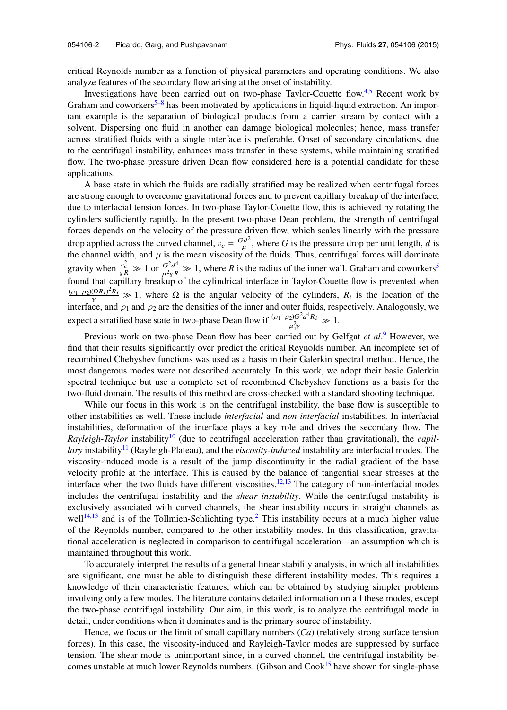critical Reynolds number as a function of physical parameters and operating conditions. We also analyze features of the secondary flow arising at the onset of instability.

Investigations have been carried out on two-phase Taylor-Couette flow. $4.5$  Recent work by Graham and coworkers<sup>5–8</sup> has been motivated by applications in liquid-liquid extraction. An important example is the separation of biological products from a carrier stream by contact with a solvent. Dispersing one fluid in another can damage biological molecules; hence, mass transfer across stratified fluids with a single interface is preferable. Onset of secondary circulations, due to the centrifugal instability, enhances mass transfer in these systems, while maintaining stratified flow. The two-phase pressure driven Dean flow considered here is a potential candidate for these applications.

A base state in which the fluids are radially stratified may be realized when centrifugal forces are strong enough to overcome gravitational forces and to prevent capillary breakup of the interface, due to interfacial tension forces. In two-phase Taylor-Couette flow, this is achieved by rotating the cylinders sufficiently rapidly. In the present two-phase Dean problem, the strength of centrifugal forces depends on the velocity of the pressure driven flow, which scales linearly with the pressure drop applied across the curved channel,  $v_c = \frac{G d^2}{v}$  $\frac{d^2}{\mu}$ , where *G* is the pressure drop per unit length, *d* is the channel width, and  $\mu$  is the mean viscosity of the fluids. Thus, centrifugal forces will dominate gravity when  $\frac{v_c^2}{gR} \gg 1$  or  $\frac{G^2d^4}{\mu^2gR} \gg 1$ , where *R* is the radius of the inner wall. Graham and coworkers<sup>5</sup> found that capillary breakup of the cylindrical interface in Taylor-Couette flow is prevented when  $(ρ<sub>1</sub>−ρ<sub>2</sub>)(ΩR<sub>i</sub>)<sup>2</sup>R<sub>i</sub>$  $\frac{(\Omega R_i)^2 R_i}{\gamma}$   $\gg$  1, where  $\Omega$  is the angular velocity of the cylinders,  $R_i$  is the location of the interface, and  $\rho_1$  and  $\rho_2$  are the densities of the inner and outer fluids, respectively. Analogously, we expect a stratified base state in two-phase Dean flow if  $\frac{(\rho_1 - \rho_2)G^2 d^4 R_i}{r^2}$  $\frac{2}{\mu_1^2 \gamma} \frac{d \mathbf{r}_i}{\mu_1^2 \gamma} \gg 1.$ 

Previous work on two-phase Dean flow has been carried out by Gelfgat *et al.*<sup>9</sup> However, we find that their results significantly over predict the critical Reynolds number. An incomplete set of recombined Chebyshev functions was used as a basis in their Galerkin spectral method. Hence, the most dangerous modes were not described accurately. In this work, we adopt their basic Galerkin spectral technique but use a complete set of recombined Chebyshev functions as a basis for the two-fluid domain. The results of this method are cross-checked with a standard shooting technique.

While our focus in this work is on the centrifugal instability, the base flow is susceptible to other instabilities as well. These include *interfacial* and *non-interfacial* instabilities. In interfacial instabilities, deformation of the interface plays a key role and drives the secondary flow. The *Rayleigh-Taylor* instability<sup>10</sup> (due to centrifugal acceleration rather than gravitational), the *capillary* instability<sup>11</sup> (Rayleigh-Plateau), and the *viscosity-induced* instability are interfacial modes. The viscosity-induced mode is a result of the jump discontinuity in the radial gradient of the base velocity profile at the interface. This is caused by the balance of tangential shear stresses at the interface when the two fluids have different viscosities.<sup>12,13</sup> The category of non-interfacial modes includes the centrifugal instability and the *shear instability*. While the centrifugal instability is exclusively associated with curved channels, the shear instability occurs in straight channels as well $14,13$  and is of the Tollmien-Schlichting type.<sup>2</sup> This instability occurs at a much higher value of the Reynolds number, compared to the other instability modes. In this classification, gravitational acceleration is neglected in comparison to centrifugal acceleration—an assumption which is maintained throughout this work.

To accurately interpret the results of a general linear stability analysis, in which all instabilities are significant, one must be able to distinguish these different instability modes. This requires a knowledge of their characteristic features, which can be obtained by studying simpler problems involving only a few modes. The literature contains detailed information on all these modes, except the two-phase centrifugal instability. Our aim, in this work, is to analyze the centrifugal mode in detail, under conditions when it dominates and is the primary source of instability.

Hence, we focus on the limit of small capillary numbers (*Ca*) (relatively strong surface tension forces). In this case, the viscosity-induced and Rayleigh-Taylor modes are suppressed by surface tension. The shear mode is unimportant since, in a curved channel, the centrifugal instability becomes unstable at much lower Reynolds numbers. (Gibson and Cook<sup>15</sup> have shown for single-phase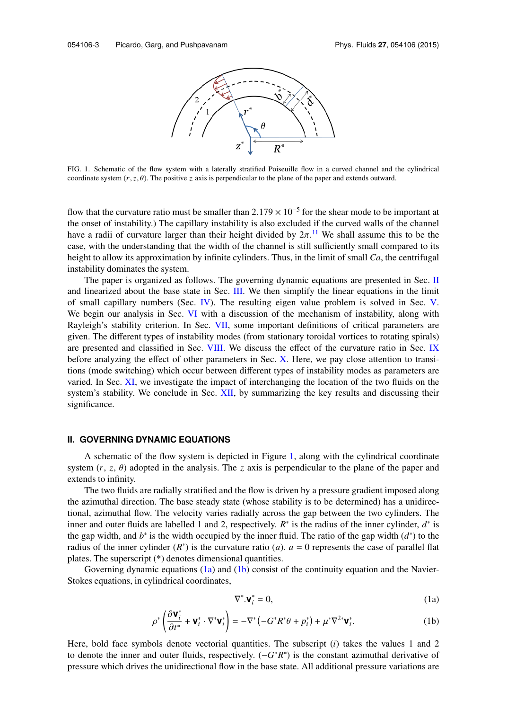

FIG. 1. Schematic of the flow system with a laterally stratified Poiseuille flow in a curved channel and the cylindrical coordinate system  $(r, z, \theta)$ . The positive z axis is perpendicular to the plane of the paper and extends outward.

flow that the curvature ratio must be smaller than  $2.179 \times 10^{-5}$  for the shear mode to be important at the onset of instability.) The capillary instability is also excluded if the curved walls of the channel have a radii of curvature larger than their height divided by  $2\pi$ .<sup>11</sup> We shall assume this to be the case, with the understanding that the width of the channel is still sufficiently small compared to its height to allow its approximation by infinite cylinders. Thus, in the limit of small *Ca*, the centrifugal instability dominates the system.

The paper is organized as follows. The governing dynamic equations are presented in Sec. II and linearized about the base state in Sec. III. We then simplify the linear equations in the limit of small capillary numbers (Sec. IV). The resulting eigen value problem is solved in Sec. V. We begin our analysis in Sec. VI with a discussion of the mechanism of instability, along with Rayleigh's stability criterion. In Sec. VII, some important definitions of critical parameters are given. The different types of instability modes (from stationary toroidal vortices to rotating spirals) are presented and classified in Sec. VIII. We discuss the effect of the curvature ratio in Sec. IX before analyzing the effect of other parameters in Sec. X. Here, we pay close attention to transitions (mode switching) which occur between different types of instability modes as parameters are varied. In Sec. XI, we investigate the impact of interchanging the location of the two fluids on the system's stability. We conclude in Sec. XII, by summarizing the key results and discussing their significance.

## **II. GOVERNING DYNAMIC EQUATIONS**

A schematic of the flow system is depicted in Figure 1, along with the cylindrical coordinate system  $(r, z, \theta)$  adopted in the analysis. The *z* axis is perpendicular to the plane of the paper and extends to infinity.

The two fluids are radially stratified and the flow is driven by a pressure gradient imposed along the azimuthal direction. The base steady state (whose stability is to be determined) has a unidirectional, azimuthal flow. The velocity varies radially across the gap between the two cylinders. The inner and outer fluids are labelled 1 and 2, respectively.  $R^*$  is the radius of the inner cylinder,  $d^*$  is the gap width, and  $b^*$  is the width occupied by the inner fluid. The ratio of the gap width  $(d^*)$  to the radius of the inner cylinder  $(R^*)$  is the curvature ratio (*a*).  $a = 0$  represents the case of parallel flat plates. The superscript (\*) denotes dimensional quantities.

Governing dynamic equations (1a) and (1b) consist of the continuity equation and the Navier-Stokes equations, in cylindrical coordinates,

$$
\nabla^* \mathbf{.} \mathbf{v}_i^* = 0,\tag{1a}
$$

$$
\rho^* \left( \frac{\partial \mathbf{V}_i^*}{\partial t^*} + \mathbf{V}_i^* \cdot \nabla^* \mathbf{V}_i^* \right) = -\nabla^* \left( -G^* R^* \theta + p_i^* \right) + \mu^* \nabla^{2*} \mathbf{V}_i^*.
$$
 (1b)

Here, bold face symbols denote vectorial quantities. The subscript (*i*) takes the values 1 and 2 to denote the inner and outer fluids, respectively.  $(-G^*R^*)$  is the constant azimuthal derivative of pressure which drives the unidirectional flow in the base state. All additional pressure variations are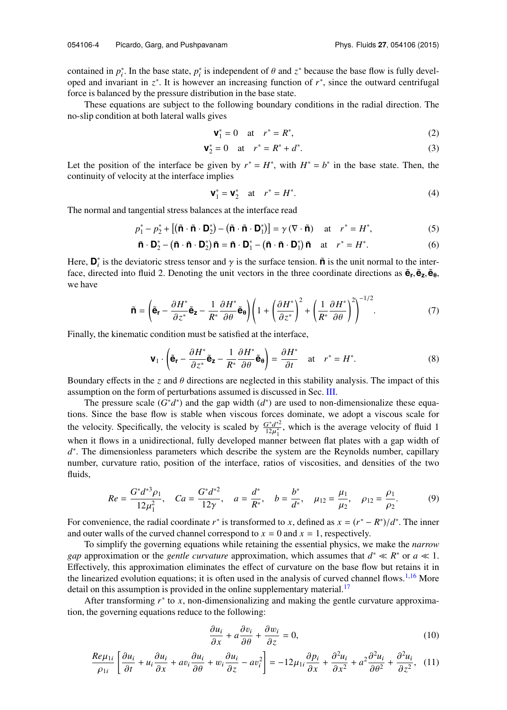contained in  $p_i^*$ . In the base state,  $p_i^*$  is independent of  $\theta$  and  $z^*$  because the base flow is fully developed and invariant in  $z^*$ . It is however an increasing function of  $r^*$ , since the outward centrifugal force is balanced by the pressure distribution in the base state.

These equations are subject to the following boundary conditions in the radial direction. The no-slip condition at both lateral walls gives

$$
v_1^* = 0 \quad \text{at} \quad r^* = R^*, \tag{2}
$$

$$
\mathbf{V}_2^* = 0 \quad \text{at} \quad r^* = R^* + d^*.
$$
 (3)

Let the position of the interface be given by  $r^* = H^*$ , with  $H^* = b^*$  in the base state. Then, the continuity of velocity at the interface implies

$$
\mathbf{V}_1^* = \mathbf{V}_2^* \quad \text{at} \quad r^* = H^*.
$$
 (4)

The normal and tangential stress balances at the interface read

$$
p_1^* - p_2^* + [(\tilde{\mathbf{n}} \cdot \tilde{\mathbf{n}} \cdot \mathbf{D}_2^*) - (\tilde{\mathbf{n}} \cdot \tilde{\mathbf{n}} \cdot \mathbf{D}_1^*)] = \gamma (\nabla \cdot \tilde{\mathbf{n}}) \quad \text{at} \quad r^* = H^*,
$$
 (5)

$$
\tilde{\mathbf{n}} \cdot \mathbf{D}_2^* - (\tilde{\mathbf{n}} \cdot \tilde{\mathbf{n}} \cdot \mathbf{D}_2^*) \tilde{\mathbf{n}} = \tilde{\mathbf{n}} \cdot \mathbf{D}_1^* - (\tilde{\mathbf{n}} \cdot \tilde{\mathbf{n}} \cdot \mathbf{D}_1^*) \tilde{\mathbf{n}} \quad \text{at} \quad r^* = H^*.
$$
 (6)

Here,  $\mathbf{D}_i^*$  is the deviatoric stress tensor and  $\gamma$  is the surface tension.  $\tilde{\mathbf{n}}$  is the unit normal to the interface, directed into fluid 2. Denoting the unit vectors in the three coordinate directions as  $\tilde{\mathbf{e}}_r$ ,  $\tilde{\mathbf{e}}_z$ ,  $\tilde{\mathbf{e}}_l$ ,  $\tilde{\mathbf{e}}_z$ ,  $\tilde{\mathbf{e}}_s$ we have

$$
\tilde{\mathbf{n}} = \left(\tilde{\mathbf{e}}_{\mathbf{r}} - \frac{\partial H^*}{\partial z^*}\tilde{\mathbf{e}}_{\mathbf{z}} - \frac{1}{R^*} \frac{\partial H^*}{\partial \theta} \tilde{\mathbf{e}}_{\theta}\right) \left(1 + \left(\frac{\partial H^*}{\partial z^*}\right)^2 + \left(\frac{1}{R^*} \frac{\partial H^*}{\partial \theta}\right)^2\right)^{-1/2}.\tag{7}
$$

Finally, the kinematic condition must be satisfied at the interface,

$$
\mathbf{V}_1 \cdot \left( \tilde{\mathbf{e}}_r - \frac{\partial H^*}{\partial z^*} \tilde{\mathbf{e}}_z - \frac{1}{R^*} \frac{\partial H^*}{\partial \theta} \tilde{\mathbf{e}}_0 \right) = \frac{\partial H^*}{\partial t} \quad \text{at} \quad r^* = H^*.
$$
 (8)

Boundary effects in the *z* and  $\theta$  directions are neglected in this stability analysis. The impact of this assumption on the form of perturbations assumed is discussed in Sec. III.

The pressure scale  $(G^*d^*)$  and the gap width  $(d^*)$  are used to non-dimensionalize these equations. Since the base flow is stable when viscous forces dominate, we adopt a viscous scale for the velocity. Specifically, the velocity is scaled by  $\frac{G^*d^{*2}}{12\mu^*}$  $\frac{\partial^2 \vec{d}^2}{\partial x_1^*}$ , which is the average velocity of fluid 1 when it flows in a unidirectional, fully developed manner between flat plates with a gap width of *d*<sup>\*</sup>. The dimensionless parameters which describe the system are the Reynolds number, capillary number, curvature ratio, position of the interface, ratios of viscosities, and densities of the two fluids,

$$
Re = \frac{G^*d^{*3}\rho_1}{12\mu_1^2}, \quad Ca = \frac{G^*d^{*2}}{12\gamma}, \quad a = \frac{d^*}{R^*}, \quad b = \frac{b^*}{d^*}, \quad \mu_{12} = \frac{\mu_1}{\mu_2}, \quad \rho_{12} = \frac{\rho_1}{\rho_2}.\tag{9}
$$

For convenience, the radial coordinate  $r^*$  is transformed to *x*, defined as  $x = (r^* - R^*)/d^*$ . The inner and outer walls of the curved channel correspond to  $x = 0$  and  $x = 1$ , respectively.

To simplify the governing equations while retaining the essential physics, we make the *narrow gap* approximation or the *gentle curvature* approximation, which assumes that  $d^* \ll R^*$  or  $a \ll 1$ . Effectively, this approximation eliminates the effect of curvature on the base flow but retains it in the linearized evolution equations; it is often used in the analysis of curved channel flows.<sup>1,16</sup> More detail on this assumption is provided in the online supplementary material.<sup>17</sup>

After transforming  $r^*$  to x, non-dimensionalizing and making the gentle curvature approximation, the governing equations reduce to the following:

$$
\frac{\partial u_i}{\partial x} + a \frac{\partial v_i}{\partial \theta} + \frac{\partial w_i}{\partial z} = 0,
$$
\n(10)

$$
\frac{Re\mu_{1i}}{\rho_{1i}} \left[ \frac{\partial u_i}{\partial t} + u_i \frac{\partial u_i}{\partial x} + av_i \frac{\partial u_i}{\partial \theta} + w_i \frac{\partial u_i}{\partial z} - av_i^2 \right] = -12\mu_{1i} \frac{\partial p_i}{\partial x} + \frac{\partial^2 u_i}{\partial x^2} + a^2 \frac{\partial^2 u_i}{\partial \theta^2} + \frac{\partial^2 u_i}{\partial z^2}, \quad (11)
$$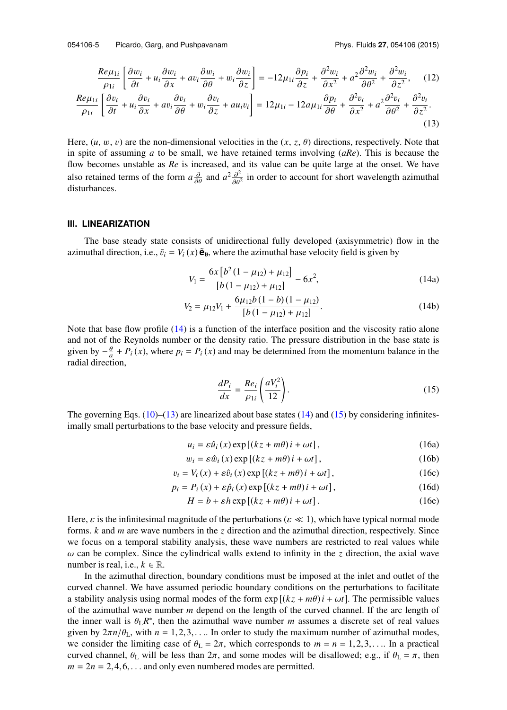$$
\frac{Re\mu_{1i}}{\rho_{1i}} \left[ \frac{\partial w_i}{\partial t} + u_i \frac{\partial w_i}{\partial x} + av_i \frac{\partial w_i}{\partial \theta} + w_i \frac{\partial w_i}{\partial z} \right] = -12\mu_{1i} \frac{\partial p_i}{\partial z} + \frac{\partial^2 w_i}{\partial x^2} + a^2 \frac{\partial^2 w_i}{\partial \theta^2} + \frac{\partial^2 w_i}{\partial z^2}, \quad (12)
$$
\n
$$
\frac{Re\mu_{1i}}{\rho_{1i}} \left[ \frac{\partial v_i}{\partial t} + u_i \frac{\partial v_i}{\partial x} + av_i \frac{\partial v_i}{\partial \theta} + w_i \frac{\partial v_i}{\partial z} + au_i v_i \right] = 12\mu_{1i} - 12a\mu_{1i} \frac{\partial p_i}{\partial \theta} + \frac{\partial^2 v_i}{\partial x^2} + a^2 \frac{\partial^2 v_i}{\partial \theta^2} + \frac{\partial^2 v_i}{\partial z^2}.
$$
\n(13)

Here,  $(u, w, v)$  are the non-dimensional velocities in the  $(x, z, \theta)$  directions, respectively. Note that in spite of assuming *a* to be small, we have retained terms involving (*aRe*). This is because the flow becomes unstable as *Re* is increased, and its value can be quite large at the onset. We have also retained terms of the form  $a\frac{\partial}{\partial \theta}$  and  $a^2\frac{\partial^2}{\partial \theta^2}$  $\frac{\partial^2}{\partial \theta^2}$  in order to account for short wavelength azimuthal disturbances.

## **III. LINEARIZATION**

The base steady state consists of unidirectional fully developed (axisymmetric) flow in the azimuthal direction, i.e.,  $\bar{v}_i = V_i(x) \tilde{\mathbf{e}}_0$ , where the azimuthal base velocity field is given by

$$
V_1 = \frac{6x \left[ b^2 (1 - \mu_{12}) + \mu_{12} \right]}{\left[ b \left( 1 - \mu_{12} \right) + \mu_{12} \right]} - 6x^2,
$$
\n(14a)

$$
V_2 = \mu_{12} V_1 + \frac{6\mu_{12} b (1 - b) (1 - \mu_{12})}{[b (1 - \mu_{12}) + \mu_{12}]}.
$$
 (14b)

Note that base flow profile (14) is a function of the interface position and the viscosity ratio alone and not of the Reynolds number or the density ratio. The pressure distribution in the base state is given by  $-\frac{\theta}{a} + P_i(x)$ , where  $p_i = P_i(x)$  and may be determined from the momentum balance in the radial direction,

$$
\frac{dP_i}{dx} = \frac{Re_i}{\rho_{1i}} \left( \frac{aV_i^2}{12} \right). \tag{15}
$$

The governing Eqs.  $(10)$ – $(13)$  are linearized about base states  $(14)$  and  $(15)$  by considering infinitesimally small perturbations to the base velocity and pressure fields,

$$
u_i = \varepsilon \hat{u}_i(x) \exp\left[ (kz + m\theta) i + \omega t \right],\tag{16a}
$$

$$
w_i = \varepsilon \hat{w}_i(x) \exp\left[ (kz + m\theta)i + \omega t \right],\tag{16b}
$$

$$
v_i = V_i(x) + \varepsilon \hat{v}_i(x) \exp\left[ (kz + m\theta) i + \omega t \right],\tag{16c}
$$

$$
p_i = P_i(x) + \varepsilon \hat{p}_i(x) \exp\left[ (kz + m\theta)i + \omega t \right],
$$
 (16d)

$$
H = b + \varepsilon h \exp\left[ (kz + m\theta) i + \omega t \right].
$$
 (16e)

Here,  $\varepsilon$  is the infinitesimal magnitude of the perturbations ( $\varepsilon \ll 1$ ), which have typical normal mode forms. *k* and *m* are wave numbers in the *z* direction and the azimuthal direction, respectively. Since we focus on a temporal stability analysis, these wave numbers are restricted to real values while  $\omega$  can be complex. Since the cylindrical walls extend to infinity in the *z* direction, the axial wave number is real, i.e.,  $k \in \mathbb{R}$ .

In the azimuthal direction, boundary conditions must be imposed at the inlet and outlet of the curved channel. We have assumed periodic boundary conditions on the perturbations to facilitate a stability analysis using normal modes of the form  $exp[(kz + m\theta)i + \omega t]$ . The permissible values of the azimuthal wave number *m* depend on the length of the curved channel. If the arc length of the inner wall is  $\theta_L R^*$ , then the azimuthal wave number *m* assumes a discrete set of real values given by  $2\pi n/\theta_L$ , with  $n = 1, 2, 3, \ldots$  In order to study the maximum number of azimuthal modes, we consider the limiting case of  $\theta_L = 2\pi$ , which corresponds to  $m = n = 1, 2, 3, \dots$  In a practical curved channel,  $\theta_L$  will be less than  $2\pi$ , and some modes will be disallowed; e.g., if  $\theta_L = \pi$ , then  $m = 2n = 2, 4, 6, \ldots$  and only even numbered modes are permitted.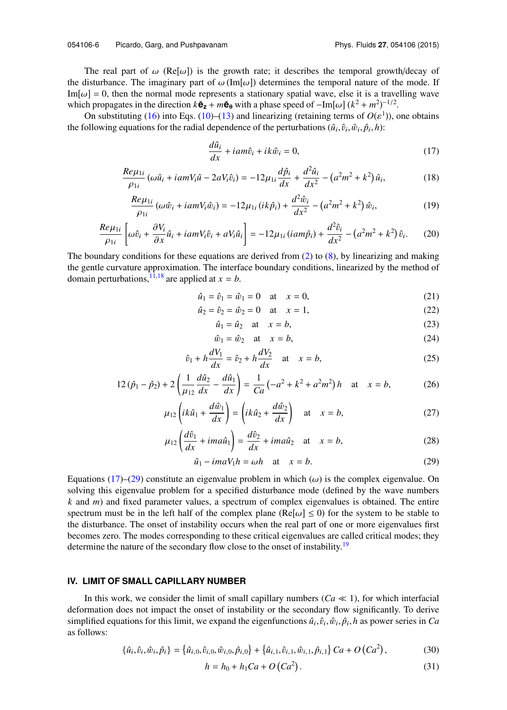The real part of  $\omega$  (Re[ $\omega$ ]) is the growth rate; it describes the temporal growth/decay of the disturbance. The imaginary part of  $\omega(\text{Im}[\omega])$  determines the temporal nature of the mode. If  $Im[\omega] = 0$ , then the normal mode represents a stationary spatial wave, else it is a travelling wave which propagates in the direction  $k\tilde{\mathbf{e}}_z + m\tilde{\mathbf{e}}_0$  with a phase speed of  $-\text{Im}[\omega](k^2 + m^2)^{-1/2}$ .

On substituting (16) into Eqs. (10)–(13) and linearizing (retaining terms of  $O(\varepsilon^1)$ ), one obtains the following equations for the radial dependence of the perturbations  $(\hat{u}_i, \hat{v}_i, \hat{w}_i, \hat{p}_i, h)$ :

$$
\frac{d\hat{u}_i}{dx} + i a m \hat{v}_i + i k \hat{w}_i = 0,
$$
\n(17)

$$
\frac{Re\mu_{1i}}{\rho_{1i}}\left(\omega\hat{u}_i + i\alpha W_i\hat{u} - 2\alpha V_i\hat{v}_i\right) = -12\mu_{1i}\frac{d\hat{p}_i}{dx} + \frac{d^2\hat{u}_i}{dx^2} - \left(a^2m^2 + k^2\right)\hat{u}_i,
$$
(18)

$$
\frac{Re\mu_{1i}}{\rho_{1i}}\left(\omega\hat{w}_i + iamV_i\hat{w}_i\right) = -12\mu_{1i}\left(ik\hat{p}_i\right) + \frac{d^2\hat{w}_i}{dx^2} - \left(a^2m^2 + k^2\right)\hat{w}_i,
$$
\n(19)

$$
\frac{Re\mu_{1i}}{\rho_{1i}} \left[ \omega \hat{v}_i + \frac{\partial V_i}{\partial x} \hat{u}_i + i a m V_i \hat{v}_i + a V_i \hat{u}_i \right] = -12 \mu_{1i} (i a m \hat{p}_i) + \frac{d^2 \hat{v}_i}{dx^2} - (a^2 m^2 + k^2) \hat{v}_i.
$$
 (20)

The boundary conditions for these equations are derived from (2) to (8), by linearizing and making the gentle curvature approximation. The interface boundary conditions, linearized by the method of domain perturbations,  $\frac{11,18}{1}$  are applied at  $x = b$ .

$$
\hat{u}_1 = \hat{v}_1 = \hat{w}_1 = 0 \quad \text{at} \quad x = 0,\tag{21}
$$

$$
\hat{u}_2 = \hat{v}_2 = \hat{w}_2 = 0 \quad \text{at} \quad x = 1,\tag{22}
$$

$$
\hat{u}_1 = \hat{u}_2 \quad \text{at} \quad x = b,\tag{23}
$$

$$
\hat{w}_1 = \hat{w}_2 \quad \text{at} \quad x = b,\tag{24}
$$

$$
\hat{v}_1 + h \frac{dV_1}{dx} = \hat{v}_2 + h \frac{dV_2}{dx} \quad \text{at} \quad x = b,
$$
\n(25)

$$
12\left(\hat{p}_1 - \hat{p}_2\right) + 2\left(\frac{1}{\mu_{12}}\frac{d\hat{u}_2}{dx} - \frac{d\hat{u}_1}{dx}\right) = \frac{1}{Ca}\left(-a^2 + k^2 + a^2m^2\right)h \quad \text{at} \quad x = b,\tag{26}
$$

$$
\mu_{12}\left(ik\hat{u}_1 + \frac{d\hat{w}_1}{dx}\right) = \left(ik\hat{u}_2 + \frac{d\hat{w}_2}{dx}\right) \quad \text{at} \quad x = b,\tag{27}
$$

$$
\mu_{12}\left(\frac{d\hat{v}_1}{dx} + ima\hat{u}_1\right) = \frac{d\hat{v}_2}{dx} + ima\hat{u}_2 \quad \text{at} \quad x = b,\tag{28}
$$

$$
\hat{u}_1 - im aV_1 h = \omega h \quad \text{at} \quad x = b. \tag{29}
$$

Equations (17)–(29) constitute an eigenvalue problem in which ( $\omega$ ) is the complex eigenvalue. On solving this eigenvalue problem for a specified disturbance mode (defined by the wave numbers *k* and *m*) and fixed parameter values, a spectrum of complex eigenvalues is obtained. The entire spectrum must be in the left half of the complex plane ( $Re[\omega] \le 0$ ) for the system to be stable to the disturbance. The onset of instability occurs when the real part of one or more eigenvalues first becomes zero. The modes corresponding to these critical eigenvalues are called critical modes; they determine the nature of the secondary flow close to the onset of instability.<sup>19</sup>

## **IV. LIMIT OF SMALL CAPILLARY NUMBER**

In this work, we consider the limit of small capillary numbers  $(Ca \ll 1)$ , for which interfacial deformation does not impact the onset of instability or the secondary flow significantly. To derive simplified equations for this limit, we expand the eigenfunctions  $\hat{u}_i, \hat{v}_i, \hat{w}_i, \hat{p}_i, h$  as power series in *Ca* as follows:

$$
\{\hat{u}_i, \hat{v}_i, \hat{w}_i, \hat{p}_i\} = \{\hat{u}_{i,0}, \hat{v}_{i,0}, \hat{w}_{i,0}, \hat{p}_{i,0}\} + \{\hat{u}_{i,1}, \hat{v}_{i,1}, \hat{w}_{i,1}, \hat{p}_{i,1}\} Ca + O\left(Ca^2\right),\tag{30}
$$

$$
h = h_0 + h_1 C a + O(Ca^2).
$$
 (31)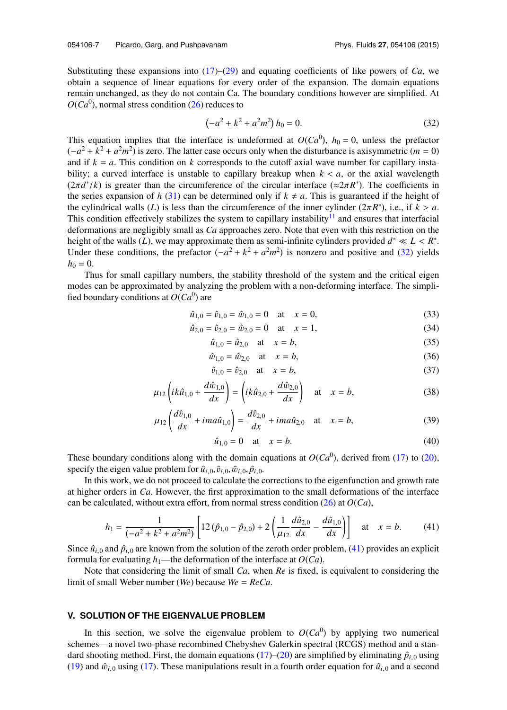Substituting these expansions into (17)–(29) and equating coefficients of like powers of *Ca*, we obtain a sequence of linear equations for every order of the expansion. The domain equations remain unchanged, as they do not contain Ca. The boundary conditions however are simplified. At  $O(Ca^0)$ , normal stress condition (26) reduces to

$$
\left(-a^2 + k^2 + a^2 m^2\right)h_0 = 0.\tag{32}
$$

This equation implies that the interface is undeformed at  $O(Ca^0)$ ,  $h_0 = 0$ , unless the prefactor  $(-a^2 + k^2 + a^2m^2)$  is zero. The latter case occurs only when the disturbance is axisymmetric (*m* = 0) and if  $k = a$ . This condition on k corresponds to the cutoff axial wave number for capillary instability; a curved interface is unstable to capillary breakup when  $k < a$ , or the axial wavelength  $(2\pi d^*/k)$  is greater than the circumference of the circular interface (≈2π*R*<sup>\*</sup>). The coefficients in the series expansion of *h* (31) can be determined only if  $k \neq a$ . This is guaranteed if the height of the cylindrical walls (*L*) is less than the circumference of the inner cylinder  $(2\pi R^*)$ , i.e., if  $k > a$ . This condition effectively stabilizes the system to capillary instability $11$  and ensures that interfacial deformations are negligibly small as *Ca* approaches zero. Note that even with this restriction on the height of the walls (*L*), we may approximate them as semi-infinite cylinders provided  $d^* \ll L < R^*$ . Under these conditions, the prefactor  $(-a^2 + k^2 + a^2m^2)$  is nonzero and positive and (32) yields  $h_0 = 0$ .

Thus for small capillary numbers, the stability threshold of the system and the critical eigen modes can be approximated by analyzing the problem with a non-deforming interface. The simplified boundary conditions at  $O(Ca^0)$  are

$$
\hat{u}_{1,0} = \hat{v}_{1,0} = \hat{w}_{1,0} = 0 \quad \text{at} \quad x = 0,\tag{33}
$$

$$
\hat{u}_{2,0} = \hat{v}_{2,0} = \hat{w}_{2,0} = 0 \quad \text{at} \quad x = 1,\tag{34}
$$

$$
\hat{u}_{1,0} = \hat{u}_{2,0} \quad \text{at} \quad x = b,\tag{35}
$$

$$
\hat{w}_{1,0} = \hat{w}_{2,0} \quad \text{at} \quad x = b,\tag{36}
$$

$$
\hat{v}_{1,0} = \hat{v}_{2,0} \quad \text{at} \quad x = b,\tag{37}
$$

$$
\mu_{12}\left(i k \hat{u}_{1,0} + \frac{d \hat{w}_{1,0}}{dx}\right) = \left(i k \hat{u}_{2,0} + \frac{d \hat{w}_{2,0}}{dx}\right) \quad \text{at} \quad x = b,\tag{38}
$$

$$
\mu_{12} \left( \frac{d\hat{v}_{1,0}}{dx} + im a \hat{u}_{1,0} \right) = \frac{d\hat{v}_{2,0}}{dx} + im a \hat{u}_{2,0} \quad \text{at} \quad x = b,
$$
 (39)

$$
\hat{u}_{1,0} = 0
$$
 at  $x = b$ . (40)

These boundary conditions along with the domain equations at  $O(Ca^0)$ , derived from (17) to (20), specify the eigen value problem for  $\hat{u}_{i,0}, \hat{v}_{i,0}, \hat{w}_{i,0}, \hat{p}_{i,0}$ .

In this work, we do not proceed to calculate the corrections to the eigenfunction and growth rate at higher orders in *Ca*. However, the first approximation to the small deformations of the interface can be calculated, without extra effort, from normal stress condition  $(26)$  at  $O(Ca)$ ,

$$
h_1 = \frac{1}{(-a^2 + k^2 + a^2 m^2)} \left[ 12 \left( \hat{p}_{1,0} - \hat{p}_{2,0} \right) + 2 \left( \frac{1}{\mu_{12}} \frac{d \hat{u}_{2,0}}{dx} - \frac{d \hat{u}_{1,0}}{dx} \right) \right] \quad \text{at} \quad x = b. \tag{41}
$$

Since  $\hat{u}_{i,0}$  and  $\hat{p}_{i,0}$  are known from the solution of the zeroth order problem, (41) provides an explicit formula for evaluating  $h_1$ —the deformation of the interface at  $O(Ca)$ .

Note that considering the limit of small *Ca*, when *Re* is fixed, is equivalent to considering the limit of small Weber number (*We*) because *We* = *ReCa*.

## **V. SOLUTION OF THE EIGENVALUE PROBLEM**

In this section, we solve the eigenvalue problem to  $O(Ca^0)$  by applying two numerical schemes—a novel two-phase recombined Chebyshev Galerkin spectral (RCGS) method and a standard shooting method. First, the domain equations (17)–(20) are simplified by eliminating  $\hat{p}_{i,0}$  using (19) and  $\hat{w}_{i,0}$  using (17). These manipulations result in a fourth order equation for  $\hat{u}_{i,0}$  and a second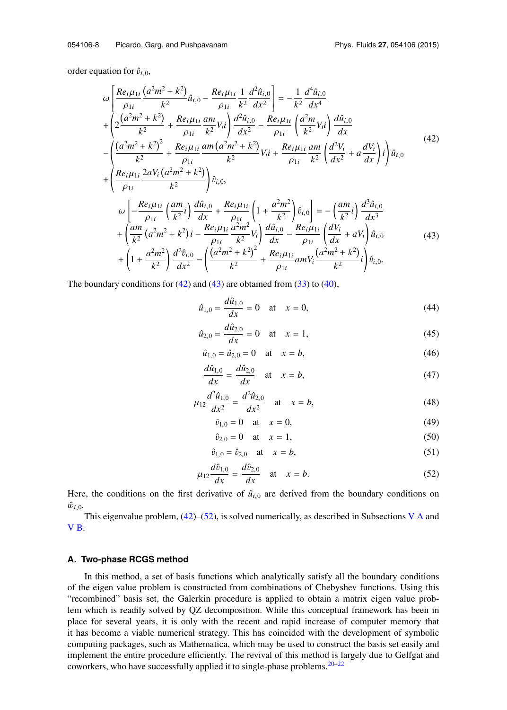order equation for  $\hat{v}_{i,0}$ ,

$$
\omega \left[ \frac{Re_i \mu_{1i}}{\rho_{1i}} \frac{(a^2m^2 + k^2)}{k^2} \hat{u}_{i,0} - \frac{Re_i \mu_{1i}}{\rho_{1i}} \frac{1}{k^2} \frac{d^2 \hat{u}_{i,0}}{dx^2} \right] = -\frac{1}{k^2} \frac{d^4 \hat{u}_{i,0}}{dx^4} + \left( 2 \frac{(a^2m^2 + k^2)}{k^2} + \frac{Re_i \mu_{1i}}{\rho_{1i}} \frac{am}{k^2} V_{i} i \right) \frac{d^2 \hat{u}_{i,0}}{dx^2} - \frac{Re_i \mu_{1i}}{\rho_{1i}} \left( \frac{a^2m}{k^2} V_{i} i \right) \frac{d \hat{u}_{i,0}}{dx} - \left( \frac{(a^2m^2 + k^2)^2}{k^2} + \frac{Re_i \mu_{1i}}{\rho_{1i}} \frac{am(a^2m^2 + k^2)}{k^2} V_{i} i + \frac{Re_i \mu_{1i}}{\rho_{1i}} \frac{am}{k^2} \left( \frac{d^2 V_i}{dx^2} + a \frac{d V_i}{dx} \right) i \right) \hat{u}_{i,0} + \left( \frac{Re_i \mu_{1i}}{\rho_{1i}} \frac{2a V_i (a^2m^2 + k^2)}{k^2} \right) \hat{v}_{i,0},
$$
\n
$$
\omega \left[ -\frac{Re_i \mu_{1i}}{\rho_{1i}} \left( \frac{am}{k^2} i \right) \frac{d \hat{u}_{i,0}}{dx} + \frac{Re_i \mu_{1i}}{\rho_{1i}} \left( 1 + \frac{a^2m^2}{k^2} \right) \hat{v}_{i,0} \right] = - \left( \frac{am}{k^2} i \right) \frac{d^3 \hat{u}_{i,0}}{dx^3} + \left( \frac{am}{k^2} \left( a^2m^2 + k^2 \right) i - \frac{Re_i \mu_{1i}}{\rho_{1i}} \frac{a^2m^2}{k^2} V_i \right) \frac{d \hat{u}_{i,0}}{dx} - \frac{Re_i \mu_{1i}}{\rho_{1i}} \left( \frac{d V_i}{dx} + a V_i \right) \hat{u}_{i,0} + \left( 1 + \frac{a^2m
$$

The boundary conditions for  $(42)$  and  $(43)$  are obtained from  $(33)$  to  $(40)$ ,

$$
\hat{u}_{1,0} = \frac{d\hat{u}_{1,0}}{dx} = 0 \quad \text{at} \quad x = 0,
$$
\n(44)

$$
\hat{u}_{2,0} = \frac{d\hat{u}_{2,0}}{dx} = 0 \quad \text{at} \quad x = 1,\tag{45}
$$

$$
\hat{u}_{1,0} = \hat{u}_{2,0} = 0 \quad \text{at} \quad x = b,
$$
\n(46)

$$
\frac{d\hat{u}_{1,0}}{dx} = \frac{d\hat{u}_{2,0}}{dx} \quad \text{at} \quad x = b,
$$
\n(47)

$$
\mu_{12} \frac{d^2 \hat{u}_{1,0}}{dx^2} = \frac{d^2 \hat{u}_{2,0}}{dx^2} \quad \text{at} \quad x = b,
$$
\n(48)

$$
\hat{v}_{1,0} = 0
$$
 at  $x = 0$ , (49)

$$
\hat{v}_{2,0} = 0 \quad \text{at} \quad x = 1,\tag{50}
$$

$$
\hat{v}_{1,0} = \hat{v}_{2,0} \quad \text{at} \quad x = b,
$$
\n(51)

$$
\mu_{12} \frac{d\hat{v}_{1,0}}{dx} = \frac{d\hat{v}_{2,0}}{dx} \quad \text{at} \quad x = b. \tag{52}
$$

Here, the conditions on the first derivative of  $\hat{u}_{i,0}$  are derived from the boundary conditions on  $\hat{w}_{i,0}$ .

This eigenvalue problem,  $(42)$ – $(52)$ , is solved numerically, as described in Subsections V A and V B.

## **A. Two-phase RCGS method**

In this method, a set of basis functions which analytically satisfy all the boundary conditions of the eigen value problem is constructed from combinations of Chebyshev functions. Using this "recombined" basis set, the Galerkin procedure is applied to obtain a matrix eigen value problem which is readily solved by QZ decomposition. While this conceptual framework has been in place for several years, it is only with the recent and rapid increase of computer memory that it has become a viable numerical strategy. This has coincided with the development of symbolic computing packages, such as Mathematica, which may be used to construct the basis set easily and implement the entire procedure efficiently. The revival of this method is largely due to Gelfgat and coworkers, who have successfully applied it to single-phase problems. $20-22$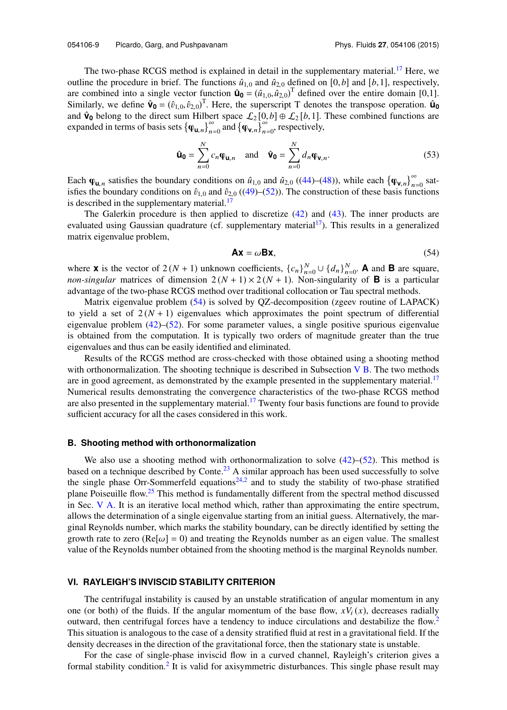The two-phase RCGS method is explained in detail in the supplementary material.<sup>17</sup> Here, we outline the procedure in brief. The functions  $\hat{u}_{1,0}$  and  $\hat{u}_{2,0}$  defined on [0, *b*] and [*b*, 1], respectively, are combined into a single vector function  $\hat{\mathbf{u}}_0 = (\hat{u}_{1,0}, \hat{u}_{2,0})^\text{T}$  defined over the entire domain [0,1]. Similarly, we define  $\hat{\mathbf{v}}_0 = (\hat{v}_{1,0}, \hat{v}_{2,0})^\text{T}$ . Here, the superscript T denotes the transpose operation.  $\hat{\mathbf{u}}_0$ and  $\hat{\mathbf{v}}_0$  belong to the direct sum Hilbert space  $\mathcal{L}_2[0,b] \oplus \mathcal{L}_2[b,1]$ . These combined functions are expanded in terms of basis sets  ${\{\varphi_{\mathbf{u},n}\}}_{n=0}^{\infty}$  and  ${\{\varphi_{\mathbf{v},n}\}}_{n=0}^{\infty}$ , respectively,

$$
\hat{\mathbf{u}}_{\mathbf{0}} = \sum_{n=0}^{N} c_n \boldsymbol{\phi}_{\mathbf{u},n} \quad \text{and} \quad \hat{\mathbf{v}}_{\mathbf{0}} = \sum_{n=0}^{N} d_n \boldsymbol{\phi}_{\mathbf{v},n}.
$$
 (53)

Each  $\varphi_{\mathbf{u},n}$  satisfies the boundary conditions on  $\hat{u}_{1,0}$  and  $\hat{u}_{2,0}$  ((44)–(48)), while each  $\{\varphi_{\mathbf{v},n}\}_{n=0}^{\infty}$  satisfies the boundary conditions on  $\hat{v}_{1,0}$  and  $\hat{v}_{2,0}$  ((49)–(52)). The construction of these basis functions is described in the supplementary material. $17$ 

The Galerkin procedure is then applied to discretize (42) and (43). The inner products are evaluated using Gaussian quadrature (cf. supplementary material<sup>17</sup>). This results in a generalized matrix eigenvalue problem,

$$
Ax = \omega Bx, \tag{54}
$$

where **x** is the vector of 2 (N + 1) unknown coefficients,  $\{c_n\}_{n=0}^N \cup \{d_n\}_{n=0}^N$ . **A** and **B** are square, *non-singular* matrices of dimension  $2(N + 1) \times 2(N + 1)$ . Non-singularity of **B** is a particular advantage of the two-phase RCGS method over traditional collocation or Tau spectral methods.

Matrix eigenvalue problem (54) is solved by QZ-decomposition (zgeev routine of LAPACK) to yield a set of  $2(N + 1)$  eigenvalues which approximates the point spectrum of differential eigenvalue problem (42)–(52). For some parameter values, a single positive spurious eigenvalue is obtained from the computation. It is typically two orders of magnitude greater than the true eigenvalues and thus can be easily identified and eliminated.

Results of the RCGS method are cross-checked with those obtained using a shooting method with orthonormalization. The shooting technique is described in Subsection  $V$  B. The two methods are in good agreement, as demonstrated by the example presented in the supplementary material.<sup>17</sup> Numerical results demonstrating the convergence characteristics of the two-phase RCGS method are also presented in the supplementary material.<sup>17</sup> Twenty four basis functions are found to provide sufficient accuracy for all the cases considered in this work.

## **B. Shooting method with orthonormalization**

We also use a shooting method with orthonormalization to solve  $(42)$ – $(52)$ . This method is based on a technique described by Conte.<sup>23</sup> A similar approach has been used successfully to solve the single phase Orr-Sommerfeld equations<sup>24,2</sup> and to study the stability of two-phase stratified plane Poiseuille flow.<sup>25</sup> This method is fundamentally different from the spectral method discussed in Sec. V A. It is an iterative local method which, rather than approximating the entire spectrum, allows the determination of a single eigenvalue starting from an initial guess. Alternatively, the marginal Reynolds number, which marks the stability boundary, can be directly identified by setting the growth rate to zero ( $\text{Re}[\omega] = 0$ ) and treating the Reynolds number as an eigen value. The smallest value of the Reynolds number obtained from the shooting method is the marginal Reynolds number.

## **VI. RAYLEIGH'S INVISCID STABILITY CRITERION**

The centrifugal instability is caused by an unstable stratification of angular momentum in any one (or both) of the fluids. If the angular momentum of the base flow,  $xV_i(x)$ , decreases radially outward, then centrifugal forces have a tendency to induce circulations and destabilize the flow.<sup>2</sup> This situation is analogous to the case of a density stratified fluid at rest in a gravitational field. If the density decreases in the direction of the gravitational force, then the stationary state is unstable.

For the case of single-phase inviscid flow in a curved channel, Rayleigh's criterion gives a formal stability condition.<sup>2</sup> It is valid for axisymmetric disturbances. This single phase result may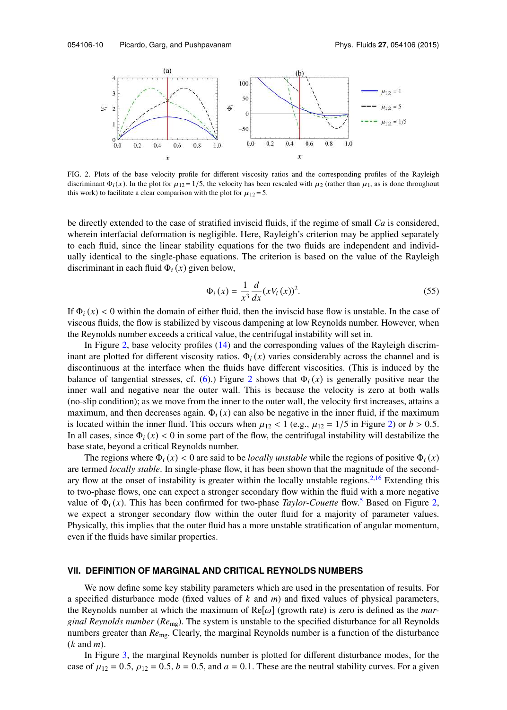

FIG. 2. Plots of the base velocity profile for different viscosity ratios and the corresponding profiles of the Rayleigh discriminant  $\Phi_i(x)$ . In the plot for  $\mu_{12} = 1/5$ , the velocity has been rescaled with  $\mu_2$  (rather than  $\mu_1$ , as is done throughout this work) to facilitate a clear comparison with the plot for  $\mu_{12} = 5$ .

be directly extended to the case of stratified inviscid fluids, if the regime of small *Ca* is considered, wherein interfacial deformation is negligible. Here, Rayleigh's criterion may be applied separately to each fluid, since the linear stability equations for the two fluids are independent and individually identical to the single-phase equations. The criterion is based on the value of the Rayleigh discriminant in each fluid  $\Phi_i(x)$  given below,

$$
\Phi_i(x) = \frac{1}{x^3} \frac{d}{dx} (x V_i(x))^2.
$$
\n(55)

If  $\Phi_i(x) < 0$  within the domain of either fluid, then the inviscid base flow is unstable. In the case of viscous fluids, the flow is stabilized by viscous dampening at low Reynolds number. However, when the Reynolds number exceeds a critical value, the centrifugal instability will set in.

In Figure 2, base velocity profiles (14) and the corresponding values of the Rayleigh discriminant are plotted for different viscosity ratios.  $\Phi_i(x)$  varies considerably across the channel and is discontinuous at the interface when the fluids have different viscosities. (This is induced by the balance of tangential stresses, cf. (6).) Figure 2 shows that  $\Phi_i(x)$  is generally positive near the inner wall and negative near the outer wall. This is because the velocity is zero at both walls (no-slip condition); as we move from the inner to the outer wall, the velocity first increases, attains a maximum, and then decreases again.  $\Phi_i(x)$  can also be negative in the inner fluid, if the maximum is located within the inner fluid. This occurs when  $\mu_{12} < 1$  (e.g.,  $\mu_{12} = 1/5$  in Figure 2) or  $b > 0.5$ . In all cases, since  $\Phi_i(x) < 0$  in some part of the flow, the centrifugal instability will destabilize the base state, beyond a critical Reynolds number.

The regions where  $\Phi_i(x) < 0$  are said to be *locally unstable* while the regions of positive  $\Phi_i(x)$ are termed *locally stable*. In single-phase flow, it has been shown that the magnitude of the secondary flow at the onset of instability is greater within the locally unstable regions.<sup>2,16</sup> Extending this to two-phase flows, one can expect a stronger secondary flow within the fluid with a more negative value of  $\Phi_i(x)$ . This has been confirmed for two-phase *Taylor-Couette* flow.<sup>5</sup> Based on Figure 2, we expect a stronger secondary flow within the outer fluid for a majority of parameter values. Physically, this implies that the outer fluid has a more unstable stratification of angular momentum, even if the fluids have similar properties.

## **VII. DEFINITION OF MARGINAL AND CRITICAL REYNOLDS NUMBERS**

We now define some key stability parameters which are used in the presentation of results. For a specified disturbance mode (fixed values of *k* and *m*) and fixed values of physical parameters, the Reynolds number at which the maximum of Re[ω] (growth rate) is zero is defined as the *marginal Reynolds number* (*Re*mg). The system is unstable to the specified disturbance for all Reynolds numbers greater than *Re*mg. Clearly, the marginal Reynolds number is a function of the disturbance (*k* and *m*).

In Figure 3, the marginal Reynolds number is plotted for different disturbance modes, for the case of  $\mu_{12} = 0.5$ ,  $\rho_{12} = 0.5$ ,  $b = 0.5$ , and  $a = 0.1$ . These are the neutral stability curves. For a given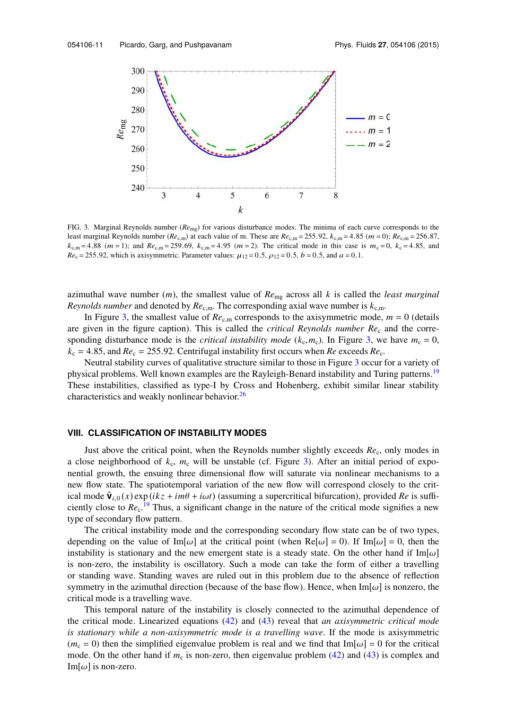

FIG. 3. Marginal Reynolds number (*Re*mg) for various disturbance modes. The minima of each curve corresponds to the least marginal Reynolds number ( $Re_{c,m}$ ) at each value of m. These are  $Re_{c,m} = 255.92$ ,  $k_{c,m} = 4.85$  ( $m = 0$ );  $Re_{c,m} = 256.87$ ,  $k_{\text{c,m}}$  = 4.88 (m = 1); and  $Re_{\text{c,m}}$  = 259.69,  $k_{\text{c,m}}$  = 4.95 (m = 2). The critical mode in this case is  $m_{\text{c}}$  = 0,  $k_{\text{c}}$  = 4.85, and  $Re_c = 255.92$ , which is axisymmetric. Parameter values:  $\mu_{12} = 0.5$ ,  $\rho_{12} = 0.5$ ,  $b = 0.5$ , and  $a = 0.1$ .

azimuthal wave number  $(m)$ , the smallest value of  $Re_{mg}$  across all  $k$  is called the *least marginal Reynolds number* and denoted by *Re*c,m. The corresponding axial wave number is *k*c,m.

In Figure 3, the smallest value of  $Re_{c,m}$  corresponds to the axisymmetric mode,  $m = 0$  (details are given in the figure caption). This is called the *critical Reynolds number Re*<sup>c</sup> and the corresponding disturbance mode is the *critical instability mode*  $(k_c, m_c)$ . In Figure 3, we have  $m_c = 0$ ,  $k_c = 4.85$ , and  $Re_c = 255.92$ . Centrifugal instability first occurs when *Re* exceeds  $Re_c$ .

Neutral stability curves of qualitative structure similar to those in Figure 3 occur for a variety of physical problems. Well known examples are the Rayleigh-Benard instability and Turing patterns.<sup>19</sup> These instabilities, classified as type-I by Cross and Hohenberg, exhibit similar linear stability characteristics and weakly nonlinear behavior.<sup>26</sup>

## **VIII. CLASSIFICATION OF INSTABILITY MODES**

Just above the critical point, when the Reynolds number slightly exceeds *Re*c, only modes in a close neighborhood of  $k_c$ ,  $m_c$  will be unstable (cf. Figure 3). After an initial period of exponential growth, the ensuing three dimensional flow will saturate via nonlinear mechanisms to a new flow state. The spatiotemporal variation of the new flow will correspond closely to the critical mode  $\hat{\mathbf{v}}_{i,0}(x)$  exp ( $ikz + im\theta + i\omega t$ ) (assuming a supercritical bifurcation), provided *Re* is sufficiently close to *Re*c. <sup>19</sup> Thus, a significant change in the nature of the critical mode signifies a new type of secondary flow pattern.

The critical instability mode and the corresponding secondary flow state can be of two types, depending on the value of Im[ $\omega$ ] at the critical point (when Re[ $\omega$ ] = 0). If Im[ $\omega$ ] = 0, then the instability is stationary and the new emergent state is a steady state. On the other hand if  $Im[\omega]$ is non-zero, the instability is oscillatory. Such a mode can take the form of either a travelling or standing wave. Standing waves are ruled out in this problem due to the absence of reflection symmetry in the azimuthal direction (because of the base flow). Hence, when  $Im[\omega]$  is nonzero, the critical mode is a travelling wave.

This temporal nature of the instability is closely connected to the azimuthal dependence of the critical mode. Linearized equations (42) and (43) reveal that *an axisymmetric critical mode is stationary while a non-axisymmetric mode is a travelling wave*. If the mode is axisymmetric  $(m_c = 0)$  then the simplified eigenvalue problem is real and we find that Im[ $\omega$ ] = 0 for the critical mode. On the other hand if  $m_c$  is non-zero, then eigenvalue problem (42) and (43) is complex and Im[ $\omega$ ] is non-zero.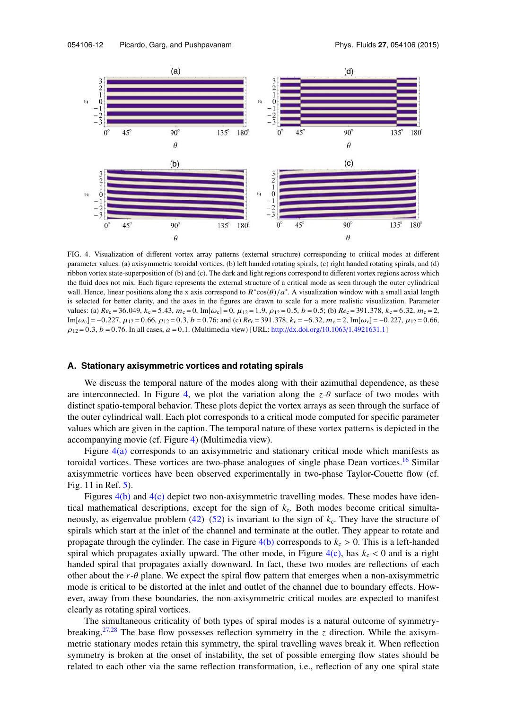

FIG. 4. Visualization of different vortex array patterns (external structure) corresponding to critical modes at different parameter values. (a) axisymmetric toroidal vortices, (b) left handed rotating spirals, (c) right handed rotating spirals, and (d) ribbon vortex state-superposition of (b) and (c). The dark and light regions correspond to different vortex regions across which the fluid does not mix. Each figure represents the external structure of a critical mode as seen through the outer cylindrical wall. Hence, linear positions along the x axis correspond to  $R^*cos(\theta)/a^*$ . A visualization window with a small axial length is selected for better clarity, and the axes in the figures are drawn to scale for a more realistic visualization. Parameter values: (a)  $Re_c = 36.049$ ,  $k_c = 5.43$ ,  $m_c = 0$ , Im[ $\omega_c$ ] = 0,  $\mu_{12} = 1.9$ ,  $\rho_{12} = 0.5$ ,  $b = 0.5$ ; (b)  $Re_c = 391.378$ ,  $k_c = 6.32$ ,  $m_c = 2$ , Im[ω<sub>c</sub>] = −0.227, μ<sub>12</sub> = 0.66, ρ<sub>12</sub> = 0.3, b = 0.76; and (c)  $Re<sub>c</sub>$  = 391.378, k<sub>c</sub> = −6.32, m<sub>c</sub> = 2, Im[ω<sub>c</sub>] = −0.227, μ<sub>12</sub> = 0.66,  $\rho_{12} = 0.3$ ,  $b = 0.76$ . In all cases,  $a = 0.1$ . (Multimedia view) [URL: http://dx.doi.org/10.1063/1.4921631.1]

#### **A. Stationary axisymmetric vortices and rotating spirals**

We discuss the temporal nature of the modes along with their azimuthal dependence, as these are interconnected. In Figure 4, we plot the variation along the *z*-θ surface of two modes with distinct spatio-temporal behavior. These plots depict the vortex arrays as seen through the surface of the outer cylindrical wall. Each plot corresponds to a critical mode computed for specific parameter values which are given in the caption. The temporal nature of these vortex patterns is depicted in the accompanying movie (cf. Figure 4) (Multimedia view).

Figure 4(a) corresponds to an axisymmetric and stationary critical mode which manifests as toroidal vortices. These vortices are two-phase analogues of single phase Dean vortices.<sup>16</sup> Similar axisymmetric vortices have been observed experimentally in two-phase Taylor-Couette flow (cf. Fig. 11 in Ref. 5).

Figures 4(b) and 4(c) depict two non-axisymmetric travelling modes. These modes have identical mathematical descriptions, except for the sign of *k*c. Both modes become critical simultaneously, as eigenvalue problem  $(42)$ – $(52)$  is invariant to the sign of  $k_c$ . They have the structure of spirals which start at the inlet of the channel and terminate at the outlet. They appear to rotate and propagate through the cylinder. The case in Figure  $4(b)$  corresponds to  $k_c > 0$ . This is a left-handed spiral which propagates axially upward. The other mode, in Figure  $4(c)$ , has  $k_c < 0$  and is a right handed spiral that propagates axially downward. In fact, these two modes are reflections of each other about the  $r-\theta$  plane. We expect the spiral flow pattern that emerges when a non-axisymmetric mode is critical to be distorted at the inlet and outlet of the channel due to boundary effects. However, away from these boundaries, the non-axisymmetric critical modes are expected to manifest clearly as rotating spiral vortices.

The simultaneous criticality of both types of spiral modes is a natural outcome of symmetrybreaking.27,28 The base flow possesses reflection symmetry in the *z* direction. While the axisymmetric stationary modes retain this symmetry, the spiral travelling waves break it. When reflection symmetry is broken at the onset of instability, the set of possible emerging flow states should be related to each other via the same reflection transformation, i.e., reflection of any one spiral state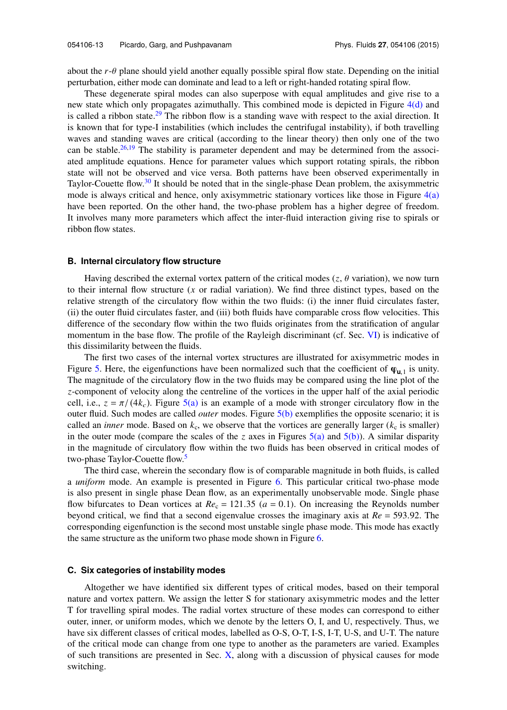about the *r*-θ plane should yield another equally possible spiral flow state. Depending on the initial perturbation, either mode can dominate and lead to a left or right-handed rotating spiral flow.

These degenerate spiral modes can also superpose with equal amplitudes and give rise to a new state which only propagates azimuthally. This combined mode is depicted in Figure 4(d) and is called a ribbon state.<sup>29</sup> The ribbon flow is a standing wave with respect to the axial direction. It is known that for type-I instabilities (which includes the centrifugal instability), if both travelling waves and standing waves are critical (according to the linear theory) then only one of the two can be stable.<sup>26,19</sup> The stability is parameter dependent and may be determined from the associated amplitude equations. Hence for parameter values which support rotating spirals, the ribbon state will not be observed and vice versa. Both patterns have been observed experimentally in Taylor-Couette flow.<sup>30</sup> It should be noted that in the single-phase Dean problem, the axisymmetric mode is always critical and hence, only axisymmetric stationary vortices like those in Figure  $4(a)$ have been reported. On the other hand, the two-phase problem has a higher degree of freedom. It involves many more parameters which affect the inter-fluid interaction giving rise to spirals or ribbon flow states.

#### **B. Internal circulatory flow structure**

Having described the external vortex pattern of the critical modes  $(z, \theta)$  variation), we now turn to their internal flow structure (*x* or radial variation). We find three distinct types, based on the relative strength of the circulatory flow within the two fluids: (i) the inner fluid circulates faster, (ii) the outer fluid circulates faster, and (iii) both fluids have comparable cross flow velocities. This difference of the secondary flow within the two fluids originates from the stratification of angular momentum in the base flow. The profile of the Rayleigh discriminant (cf. Sec. VI) is indicative of this dissimilarity between the fluids.

The first two cases of the internal vortex structures are illustrated for axisymmetric modes in Figure 5. Here, the eigenfunctions have been normalized such that the coefficient of  $\varphi_{\mathbf{u},1}$  is unity. The magnitude of the circulatory flow in the two fluids may be compared using the line plot of the *z*-component of velocity along the centreline of the vortices in the upper half of the axial periodic cell, i.e.,  $z = \pi/(4k_c)$ . Figure 5(a) is an example of a mode with stronger circulatory flow in the outer fluid. Such modes are called *outer* modes. Figure 5(b) exemplifies the opposite scenario; it is called an *inner* mode. Based on  $k_c$ , we observe that the vortices are generally larger ( $k_c$  is smaller) in the outer mode (compare the scales of the *z* axes in Figures  $5(a)$  and  $5(b)$ ). A similar disparity in the magnitude of circulatory flow within the two fluids has been observed in critical modes of two-phase Taylor-Couette flow.<sup>5</sup>

The third case, wherein the secondary flow is of comparable magnitude in both fluids, is called a *uniform* mode. An example is presented in Figure 6. This particular critical two-phase mode is also present in single phase Dean flow, as an experimentally unobservable mode. Single phase flow bifurcates to Dean vortices at  $Re<sub>c</sub> = 121.35$  ( $a = 0.1$ ). On increasing the Reynolds number beyond critical, we find that a second eigenvalue crosses the imaginary axis at *Re* = 593.92. The corresponding eigenfunction is the second most unstable single phase mode. This mode has exactly the same structure as the uniform two phase mode shown in Figure 6.

## **C. Six categories of instability modes**

Altogether we have identified six different types of critical modes, based on their temporal nature and vortex pattern. We assign the letter S for stationary axisymmetric modes and the letter T for travelling spiral modes. The radial vortex structure of these modes can correspond to either outer, inner, or uniform modes, which we denote by the letters O, I, and U, respectively. Thus, we have six different classes of critical modes, labelled as O-S, O-T, I-S, I-T, U-S, and U-T. The nature of the critical mode can change from one type to another as the parameters are varied. Examples of such transitions are presented in Sec. X, along with a discussion of physical causes for mode switching.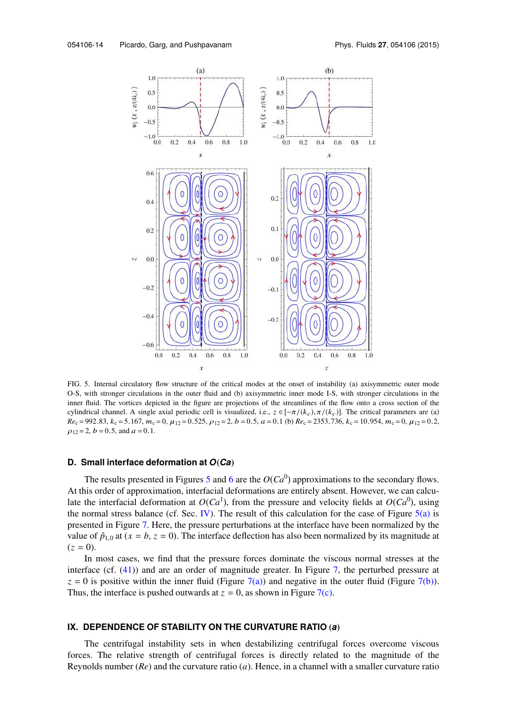

FIG. 5. Internal circulatory flow structure of the critical modes at the onset of instability (a) axisymmetric outer mode O-S, with stronger circulations in the outer fluid and (b) axisymmetric inner mode I-S, with stronger circulations in the inner fluid. The vortices depicted in the figure are projections of the streamlines of the flow onto a cross section of the cylindrical channel. A single axial periodic cell is visualized, i.e.,  $z \in [-\pi/(k_c), \pi/(k_c)]$ . The critical parameters are (a)  $Re_c = 992.83$ ,  $k_c = 5.167$ ,  $m_c = 0$ ,  $\mu_{12} = 0.525$ ,  $\rho_{12} = 2$ ,  $b = 0.5$ ,  $a = 0.1$  (b)  $Re_c = 2353.736$ ,  $k_c = 10.954$ ,  $m_c = 0$ ,  $\mu_{12} = 0.2$ ,  $\rho_{12} = 2, b = 0.5, \text{ and } a = 0.1.$ 

## **D. Small interface deformation at** *O*(*Ca*)

The results presented in Figures 5 and 6 are the  $O(Ca^0)$  approximations to the secondary flows. At this order of approximation, interfacial deformations are entirely absent. However, we can calculate the interfacial deformation at  $O(Ca^1)$ , from the pressure and velocity fields at  $O(Ca^0)$ , using the normal stress balance (cf. Sec. IV). The result of this calculation for the case of Figure  $5(a)$  is presented in Figure 7. Here, the pressure perturbations at the interface have been normalized by the value of  $\hat{p}_{1,0}$  at ( $x = b$ ,  $z = 0$ ). The interface deflection has also been normalized by its magnitude at  $(z = 0)$ .

In most cases, we find that the pressure forces dominate the viscous normal stresses at the interface (cf.  $(41)$ ) and are an order of magnitude greater. In Figure 7, the perturbed pressure at  $z = 0$  is positive within the inner fluid (Figure 7(a)) and negative in the outer fluid (Figure 7(b)). Thus, the interface is pushed outwards at  $z = 0$ , as shown in Figure 7(c).

## **IX. DEPENDENCE OF STABILITY ON THE CURVATURE RATIO** (*a*)

The centrifugal instability sets in when destabilizing centrifugal forces overcome viscous forces. The relative strength of centrifugal forces is directly related to the magnitude of the Reynolds number (*Re*) and the curvature ratio (*a*). Hence, in a channel with a smaller curvature ratio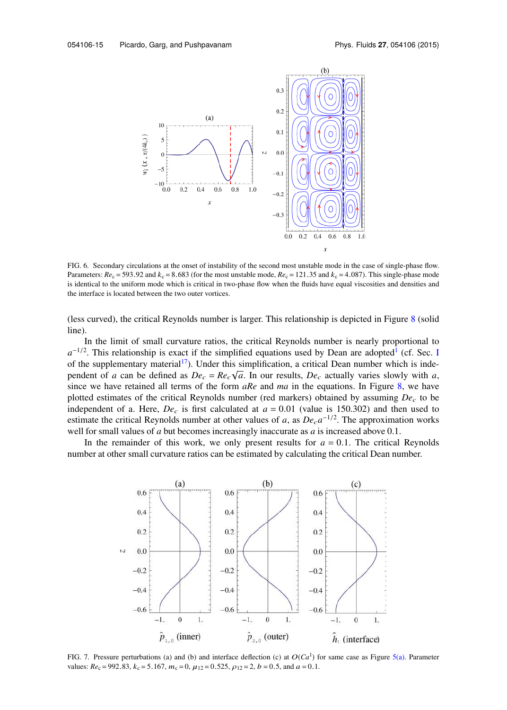

FIG. 6. Secondary circulations at the onset of instability of the second most unstable mode in the case of single-phase flow. Parameters:  $Re_c = 593.92$  and  $k_c = 8.683$  (for the most unstable mode,  $Re_c = 121.35$  and  $k_c = 4.087$ ). This single-phase mode is identical to the uniform mode which is critical in two-phase flow when the fluids have equal viscosities and densities and the interface is located between the two outer vortices.

(less curved), the critical Reynolds number is larger. This relationship is depicted in Figure 8 (solid line).

In the limit of small curvature ratios, the critical Reynolds number is nearly proportional to  $a^{-1/2}$ . This relationship is exact if the simplified equations used by Dean are adopted<sup>1</sup> (cf. Sec. I of the supplementary material<sup>17</sup>). Under this simplification, a critical Dean number which is independent of *a* can be defined as  $De_c = Re_c \sqrt{a}$ . In our results,  $De_c$  actually varies slowly with *a*, since we have retained all terms of the form *aRe* and *ma* in the equations. In Figure 8, we have plotted estimates of the critical Reynolds number (red markers) obtained by assuming  $De<sub>c</sub>$  to be independent of a. Here,  $De<sub>c</sub>$  is first calculated at  $a = 0.01$  (value is 150.302) and then used to estimate the critical Reynolds number at other values of *a*, as  $De<sub>c</sub>a<sup>-1/2</sup>$ . The approximation works well for small values of *a* but becomes increasingly inaccurate as *a* is increased above 0.1.

In the remainder of this work, we only present results for  $a = 0.1$ . The critical Reynolds number at other small curvature ratios can be estimated by calculating the critical Dean number.



FIG. 7. Pressure perturbations (a) and (b) and interface deflection (c) at  $O(Ca^1)$  for same case as Figure 5(a). Parameter values:  $Re_c = 992.83$ ,  $k_c = 5.167$ ,  $m_c = 0$ ,  $\mu_{12} = 0.525$ ,  $\rho_{12} = 2$ ,  $b = 0.5$ , and  $a = 0.1$ .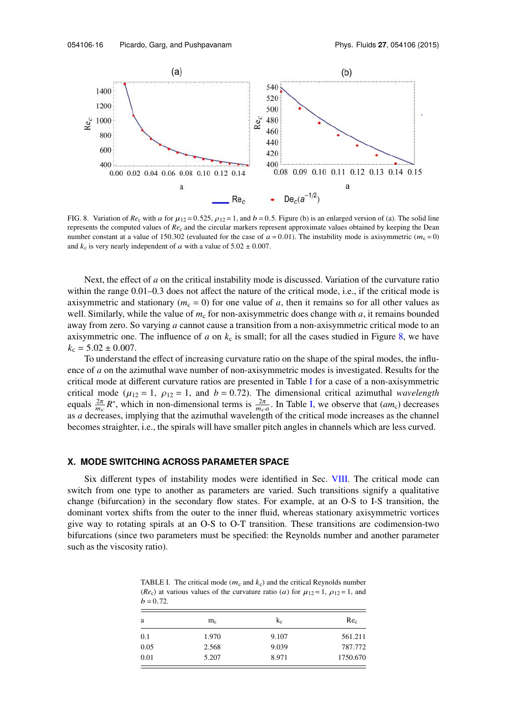

FIG. 8. Variation of  $Re_c$  with a for  $\mu_{12} = 0.525$ ,  $\rho_{12} = 1$ , and  $b = 0.5$ . Figure (b) is an enlarged version of (a). The solid line represents the computed values of *Re*<sup>c</sup> and the circular markers represent approximate values obtained by keeping the Dean number constant at a value of 150.302 (evaluated for the case of  $a = 0.01$ ). The instability mode is axisymmetric ( $m_c = 0$ ) and  $k_c$  is very nearly independent of a with a value of  $5.02 \pm 0.007$ .

Next, the effect of *a* on the critical instability mode is discussed. Variation of the curvature ratio within the range  $0.01-0.3$  does not affect the nature of the critical mode, i.e., if the critical mode is axisymmetric and stationary ( $m<sub>c</sub> = 0$ ) for one value of *a*, then it remains so for all other values as well. Similarly, while the value of  $m_c$  for non-axisymmetric does change with  $a$ , it remains bounded away from zero. So varying *a* cannot cause a transition from a non-axisymmetric critical mode to an axisymmetric one. The influence of *a* on  $k<sub>c</sub>$  is small; for all the cases studied in Figure 8, we have  $k_c = 5.02 \pm 0.007$ .

To understand the effect of increasing curvature ratio on the shape of the spiral modes, the influence of *a* on the azimuthal wave number of non-axisymmetric modes is investigated. Results for the critical mode at different curvature ratios are presented in Table I for a case of a non-axisymmetric critical mode ( $\mu_{12} = 1$ ,  $\rho_{12} = 1$ , and  $b = 0.72$ ). The dimensional critical azimuthal *wavelength* equals  $\frac{2\pi}{m_c}R^*$ , which in non-dimensional terms is  $\frac{2\pi}{m_c a}$ . In Table I, we observe that  $(am_c)$  decreases as *a* decreases, implying that the azimuthal wavelength of the critical mode increases as the channel becomes straighter, i.e., the spirals will have smaller pitch angles in channels which are less curved.

## **X. MODE SWITCHING ACROSS PARAMETER SPACE**

Six different types of instability modes were identified in Sec. VIII. The critical mode can switch from one type to another as parameters are varied. Such transitions signify a qualitative change (bifurcation) in the secondary flow states. For example, at an O-S to I-S transition, the dominant vortex shifts from the outer to the inner fluid, whereas stationary axisymmetric vortices give way to rotating spirals at an O-S to O-T transition. These transitions are codimension-two bifurcations (since two parameters must be specified: the Reynolds number and another parameter such as the viscosity ratio).

TABLE I. The critical mode ( $m_c$  and  $k_c$ ) and the critical Reynolds number ( $Re<sub>c</sub>$ ) at various values of the curvature ratio (a) for  $\mu_{12} = 1$ ,  $\rho_{12} = 1$ , and  $b = 0.72$ .

| a    | $m_c$ | $k_{c}$ | Re <sub>c</sub> |
|------|-------|---------|-----------------|
| 0.1  | 1.970 | 9.107   | 561.211         |
| 0.05 | 2.568 | 9.039   | 787.772         |
| 0.01 | 5.207 | 8.971   | 1750.670        |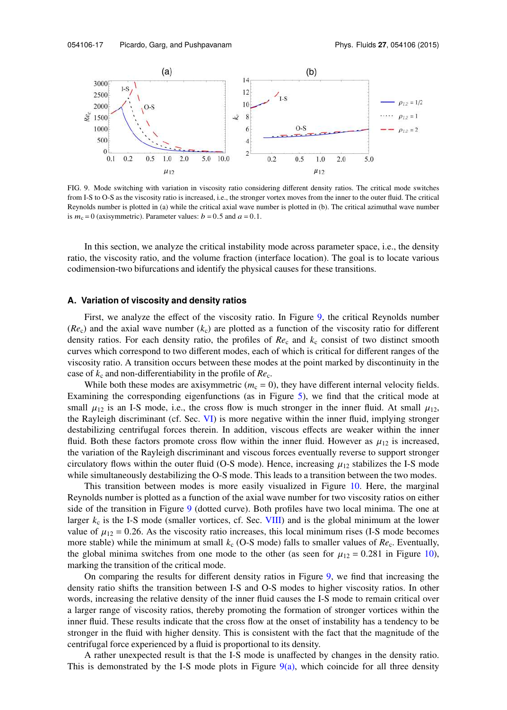

FIG. 9. Mode switching with variation in viscosity ratio considering different density ratios. The critical mode switches from I-S to O-S as the viscosity ratio is increased, i.e., the stronger vortex moves from the inner to the outer fluid. The critical Reynolds number is plotted in (a) while the critical axial wave number is plotted in (b). The critical azimuthal wave number is  $m_c = 0$  (axisymmetric). Parameter values:  $b = 0.5$  and  $a = 0.1$ .

In this section, we analyze the critical instability mode across parameter space, i.e., the density ratio, the viscosity ratio, and the volume fraction (interface location). The goal is to locate various codimension-two bifurcations and identify the physical causes for these transitions.

## **A. Variation of viscosity and density ratios**

First, we analyze the effect of the viscosity ratio. In Figure 9, the critical Reynolds number  $(Re<sub>c</sub>)$  and the axial wave number  $(k<sub>c</sub>)$  are plotted as a function of the viscosity ratio for different density ratios. For each density ratio, the profiles of  $Re<sub>c</sub>$  and  $k<sub>c</sub>$  consist of two distinct smooth curves which correspond to two different modes, each of which is critical for different ranges of the viscosity ratio. A transition occurs between these modes at the point marked by discontinuity in the case of  $k_c$  and non-differentiability in the profile of  $Re_c$ .

While both these modes are axisymmetric  $(m_c = 0)$ , they have different internal velocity fields. Examining the corresponding eigenfunctions (as in Figure 5), we find that the critical mode at small  $\mu_{12}$  is an I-S mode, i.e., the cross flow is much stronger in the inner fluid. At small  $\mu_{12}$ , the Rayleigh discriminant (cf. Sec. VI) is more negative within the inner fluid, implying stronger destabilizing centrifugal forces therein. In addition, viscous effects are weaker within the inner fluid. Both these factors promote cross flow within the inner fluid. However as  $\mu_{12}$  is increased, the variation of the Rayleigh discriminant and viscous forces eventually reverse to support stronger circulatory flows within the outer fluid (O-S mode). Hence, increasing  $\mu_{12}$  stabilizes the I-S mode while simultaneously destabilizing the O-S mode. This leads to a transition between the two modes.

This transition between modes is more easily visualized in Figure 10. Here, the marginal Reynolds number is plotted as a function of the axial wave number for two viscosity ratios on either side of the transition in Figure 9 (dotted curve). Both profiles have two local minima. The one at larger  $k_c$  is the I-S mode (smaller vortices, cf. Sec. VIII) and is the global minimum at the lower value of  $\mu_{12} = 0.26$ . As the viscosity ratio increases, this local minimum rises (I-S mode becomes more stable) while the minimum at small *k*<sup>c</sup> (O-S mode) falls to smaller values of *Re*c. Eventually, the global minima switches from one mode to the other (as seen for  $\mu_{12} = 0.281$  in Figure 10), marking the transition of the critical mode.

On comparing the results for different density ratios in Figure 9, we find that increasing the density ratio shifts the transition between I-S and O-S modes to higher viscosity ratios. In other words, increasing the relative density of the inner fluid causes the I-S mode to remain critical over a larger range of viscosity ratios, thereby promoting the formation of stronger vortices within the inner fluid. These results indicate that the cross flow at the onset of instability has a tendency to be stronger in the fluid with higher density. This is consistent with the fact that the magnitude of the centrifugal force experienced by a fluid is proportional to its density.

A rather unexpected result is that the I-S mode is unaffected by changes in the density ratio. This is demonstrated by the I-S mode plots in Figure  $9(a)$ , which coincide for all three density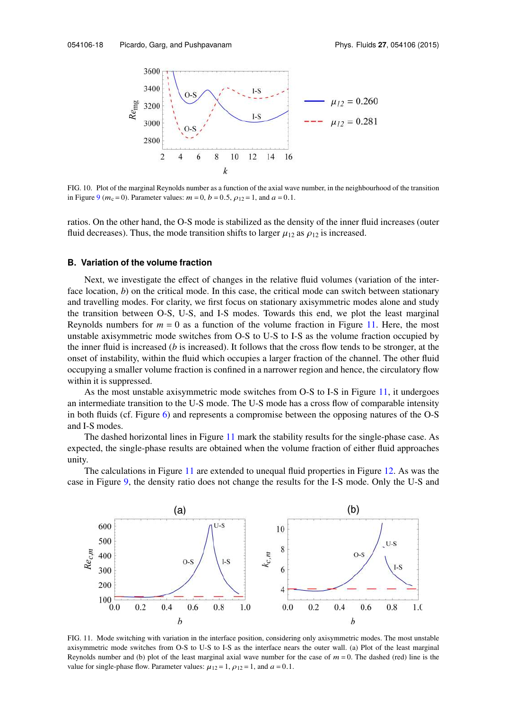

FIG. 10. Plot of the marginal Reynolds number as a function of the axial wave number, in the neighbourhood of the transition in Figure 9 ( $m_c = 0$ ). Parameter values:  $m = 0$ ,  $b = 0.5$ ,  $\rho_{12} = 1$ , and  $a = 0.1$ .

ratios. On the other hand, the O-S mode is stabilized as the density of the inner fluid increases (outer fluid decreases). Thus, the mode transition shifts to larger  $\mu_{12}$  as  $\rho_{12}$  is increased.

## **B. Variation of the volume fraction**

Next, we investigate the effect of changes in the relative fluid volumes (variation of the interface location, *b*) on the critical mode. In this case, the critical mode can switch between stationary and travelling modes. For clarity, we first focus on stationary axisymmetric modes alone and study the transition between O-S, U-S, and I-S modes. Towards this end, we plot the least marginal Reynolds numbers for  $m = 0$  as a function of the volume fraction in Figure 11. Here, the most unstable axisymmetric mode switches from O-S to U-S to I-S as the volume fraction occupied by the inner fluid is increased (*b* is increased). It follows that the cross flow tends to be stronger, at the onset of instability, within the fluid which occupies a larger fraction of the channel. The other fluid occupying a smaller volume fraction is confined in a narrower region and hence, the circulatory flow within it is suppressed.

As the most unstable axisymmetric mode switches from O-S to I-S in Figure 11, it undergoes an intermediate transition to the U-S mode. The U-S mode has a cross flow of comparable intensity in both fluids (cf. Figure 6) and represents a compromise between the opposing natures of the O-S and I-S modes.

The dashed horizontal lines in Figure 11 mark the stability results for the single-phase case. As expected, the single-phase results are obtained when the volume fraction of either fluid approaches unity.

The calculations in Figure 11 are extended to unequal fluid properties in Figure 12. As was the case in Figure 9, the density ratio does not change the results for the I-S mode. Only the U-S and



FIG. 11. Mode switching with variation in the interface position, considering only axisymmetric modes. The most unstable axisymmetric mode switches from O-S to U-S to I-S as the interface nears the outer wall. (a) Plot of the least marginal Reynolds number and (b) plot of the least marginal axial wave number for the case of  $m = 0$ . The dashed (red) line is the value for single-phase flow. Parameter values:  $\mu_{12} = 1$ ,  $\rho_{12} = 1$ , and  $a = 0.1$ .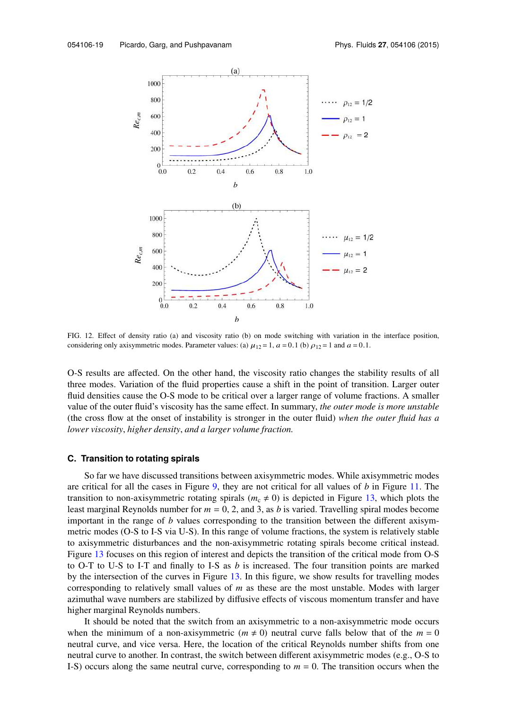

FIG. 12. Effect of density ratio (a) and viscosity ratio (b) on mode switching with variation in the interface position, considering only axisymmetric modes. Parameter values: (a)  $\mu_{12} = 1$ ,  $a = 0.1$  (b)  $\rho_{12} = 1$  and  $a = 0.1$ .

O-S results are affected. On the other hand, the viscosity ratio changes the stability results of all three modes. Variation of the fluid properties cause a shift in the point of transition. Larger outer fluid densities cause the O-S mode to be critical over a larger range of volume fractions. A smaller value of the outer fluid's viscosity has the same effect. In summary, *the outer mode is more unstable* (the cross flow at the onset of instability is stronger in the outer fluid) *when the outer fluid has a lower viscosity*, *higher density*, *and a larger volume fraction.*

## **C. Transition to rotating spirals**

So far we have discussed transitions between axisymmetric modes. While axisymmetric modes are critical for all the cases in Figure 9, they are not critical for all values of *b* in Figure 11. The transition to non-axisymmetric rotating spirals ( $m_c \neq 0$ ) is depicted in Figure 13, which plots the least marginal Reynolds number for  $m = 0, 2$ , and 3, as *b* is varied. Travelling spiral modes become important in the range of *b* values corresponding to the transition between the different axisymmetric modes (O-S to I-S via U-S). In this range of volume fractions, the system is relatively stable to axisymmetric disturbances and the non-axisymmetric rotating spirals become critical instead. Figure 13 focuses on this region of interest and depicts the transition of the critical mode from O-S to O-T to U-S to I-T and finally to I-S as *b* is increased. The four transition points are marked by the intersection of the curves in Figure 13. In this figure, we show results for travelling modes corresponding to relatively small values of *m* as these are the most unstable. Modes with larger azimuthal wave numbers are stabilized by diffusive effects of viscous momentum transfer and have higher marginal Reynolds numbers.

It should be noted that the switch from an axisymmetric to a non-axisymmetric mode occurs when the minimum of a non-axisymmetric ( $m \neq 0$ ) neutral curve falls below that of the  $m = 0$ neutral curve, and vice versa. Here, the location of the critical Reynolds number shifts from one neutral curve to another. In contrast, the switch between different axisymmetric modes (e.g., O-S to I-S) occurs along the same neutral curve, corresponding to  $m = 0$ . The transition occurs when the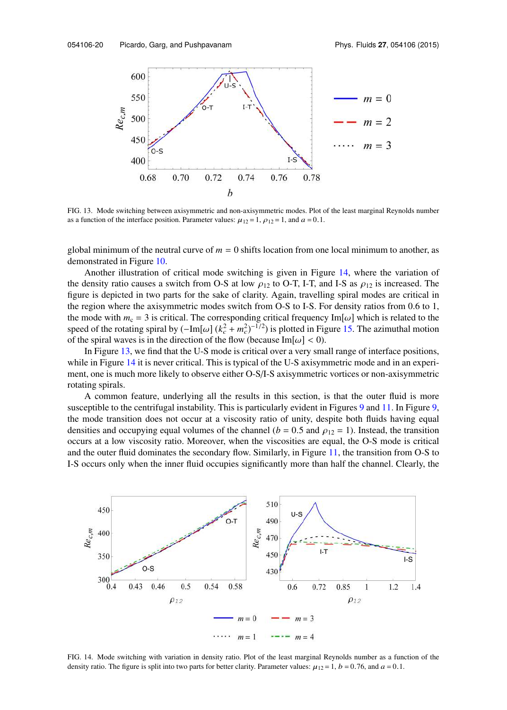

FIG. 13. Mode switching between axisymmetric and non-axisymmetric modes. Plot of the least marginal Reynolds number as a function of the interface position. Parameter values:  $\mu_{12} = 1$ ,  $\rho_{12} = 1$ , and  $a = 0.1$ .

global minimum of the neutral curve of  $m = 0$  shifts location from one local minimum to another, as demonstrated in Figure 10.

Another illustration of critical mode switching is given in Figure 14, where the variation of the density ratio causes a switch from O-S at low  $\rho_{12}$  to O-T, I-T, and I-S as  $\rho_{12}$  is increased. The figure is depicted in two parts for the sake of clarity. Again, travelling spiral modes are critical in the region where the axisymmetric modes switch from O-S to I-S. For density ratios from 0.6 to 1, the mode with  $m_c = 3$  is critical. The corresponding critical frequency Im[ $\omega$ ] which is related to the speed of the rotating spiral by  $(-\text{Im}[\omega]$  ( $k_c^2 + m_c^2)^{-1/2}$ ) is plotted in Figure 15. The azimuthal motion of the spiral waves is in the direction of the flow (because  $Im[\omega] < 0$ ).

In Figure 13, we find that the U-S mode is critical over a very small range of interface positions, while in Figure 14 it is never critical. This is typical of the U-S axisymmetric mode and in an experiment, one is much more likely to observe either O-S/I-S axisymmetric vortices or non-axisymmetric rotating spirals.

A common feature, underlying all the results in this section, is that the outer fluid is more susceptible to the centrifugal instability. This is particularly evident in Figures 9 and 11. In Figure 9, the mode transition does not occur at a viscosity ratio of unity, despite both fluids having equal densities and occupying equal volumes of the channel ( $b = 0.5$  and  $\rho_{12} = 1$ ). Instead, the transition occurs at a low viscosity ratio. Moreover, when the viscosities are equal, the O-S mode is critical and the outer fluid dominates the secondary flow. Similarly, in Figure 11, the transition from O-S to I-S occurs only when the inner fluid occupies significantly more than half the channel. Clearly, the



FIG. 14. Mode switching with variation in density ratio. Plot of the least marginal Reynolds number as a function of the density ratio. The figure is split into two parts for better clarity. Parameter values:  $\mu_{12} = 1$ ,  $b = 0.76$ , and  $a = 0.1$ .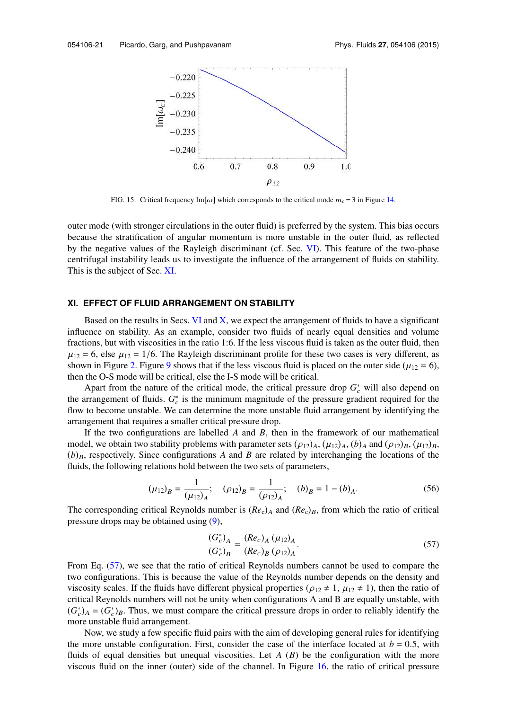

FIG. 15. Critical frequency Im[ $\omega$ ] which corresponds to the critical mode  $m_c = 3$  in Figure 14.

outer mode (with stronger circulations in the outer fluid) is preferred by the system. This bias occurs because the stratification of angular momentum is more unstable in the outer fluid, as reflected by the negative values of the Rayleigh discriminant (cf. Sec. VI). This feature of the two-phase centrifugal instability leads us to investigate the influence of the arrangement of fluids on stability. This is the subject of Sec. XI.

## **XI. EFFECT OF FLUID ARRANGEMENT ON STABILITY**

Based on the results in Secs. VI and X, we expect the arrangement of fluids to have a significant influence on stability. As an example, consider two fluids of nearly equal densities and volume fractions, but with viscosities in the ratio 1:6. If the less viscous fluid is taken as the outer fluid, then  $\mu_{12} = 6$ , else  $\mu_{12} = 1/6$ . The Rayleigh discriminant profile for these two cases is very different, as shown in Figure 2. Figure 9 shows that if the less viscous fluid is placed on the outer side ( $\mu_{12} = 6$ ), then the O-S mode will be critical, else the I-S mode will be critical.

Apart from the nature of the critical mode, the critical pressure drop  $G_c^*$  will also depend on the arrangement of fluids.  $G_c^*$  is the minimum magnitude of the pressure gradient required for the flow to become unstable. We can determine the more unstable fluid arrangement by identifying the arrangement that requires a smaller critical pressure drop.

If the two configurations are labelled *A* and *B*, then in the framework of our mathematical model, we obtain two stability problems with parameter sets  $(\rho_{12})_A$ ,  $(\mu_{12})_A$ ,  $(b)_A$  and  $(\rho_{12})_B$ ,  $(\mu_{12})_B$ ,  $(b)_B$ , respectively. Since configurations *A* and *B* are related by interchanging the locations of the fluids, the following relations hold between the two sets of parameters,

$$
(\mu_{12})_B = \frac{1}{(\mu_{12})_A}; \quad (\rho_{12})_B = \frac{1}{(\rho_{12})_A}; \quad (b)_B = 1 - (b)_A. \tag{56}
$$

The corresponding critical Reynolds number is  $(Re_c)_A$  and  $(Re_c)_B$ , from which the ratio of critical pressure drops may be obtained using (9),

$$
\frac{(G_c^*)_A}{(G_c^*)_B} = \frac{(Re_c)_A}{(Re_c)_B} \frac{(\mu_{12})_A}{(\rho_{12})_A}.
$$
\n(57)

From Eq. (57), we see that the ratio of critical Reynolds numbers cannot be used to compare the two configurations. This is because the value of the Reynolds number depends on the density and viscosity scales. If the fluids have different physical properties ( $\rho_{12} \neq 1$ ,  $\mu_{12} \neq 1$ ), then the ratio of critical Reynolds numbers will not be unity when configurations A and B are equally unstable, with  $(G_c^*)_A = (G_c^*)_B$ . Thus, we must compare the critical pressure drops in order to reliably identify the more unstable fluid arrangement.

Now, we study a few specific fluid pairs with the aim of developing general rules for identifying the more unstable configuration. First, consider the case of the interface located at  $b = 0.5$ , with fluids of equal densities but unequal viscosities. Let  $A(B)$  be the configuration with the more viscous fluid on the inner (outer) side of the channel. In Figure 16, the ratio of critical pressure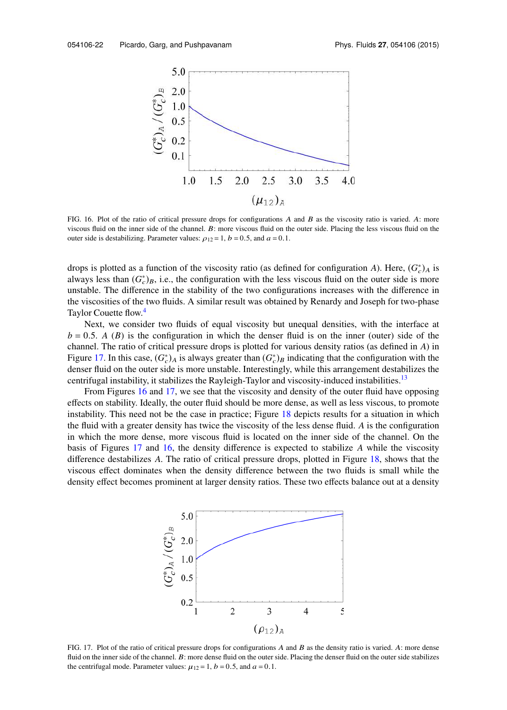

FIG. 16. Plot of the ratio of critical pressure drops for configurations  $A$  and  $B$  as the viscosity ratio is varied. A: more viscous fluid on the inner side of the channel. B: more viscous fluid on the outer side. Placing the less viscous fluid on the outer side is destabilizing. Parameter values:  $\rho_{12} = 1$ ,  $b = 0.5$ , and  $a = 0.1$ .

drops is plotted as a function of the viscosity ratio (as defined for configuration *A*). Here,  $(G_{c}^{*})_A$  is always less than  $(G_c^*)_B$ , i.e., the configuration with the less viscous fluid on the outer side is more unstable. The difference in the stability of the two configurations increases with the difference in the viscosities of the two fluids. A similar result was obtained by Renardy and Joseph for two-phase Taylor Couette flow.<sup>4</sup>

Next, we consider two fluids of equal viscosity but unequal densities, with the interface at  $b = 0.5$ . *A* (*B*) is the configuration in which the denser fluid is on the inner (outer) side of the channel. The ratio of critical pressure drops is plotted for various density ratios (as defined in *A*) in Figure 17. In this case,  $(G_c^*)_A$  is always greater than  $(G_c^*)_B$  indicating that the configuration with the denser fluid on the outer side is more unstable. Interestingly, while this arrangement destabilizes the centrifugal instability, it stabilizes the Rayleigh-Taylor and viscosity-induced instabilities.<sup>13</sup>

From Figures 16 and 17, we see that the viscosity and density of the outer fluid have opposing effects on stability. Ideally, the outer fluid should be more dense, as well as less viscous, to promote instability. This need not be the case in practice; Figure 18 depicts results for a situation in which the fluid with a greater density has twice the viscosity of the less dense fluid. *A* is the configuration in which the more dense, more viscous fluid is located on the inner side of the channel. On the basis of Figures 17 and 16, the density difference is expected to stabilize *A* while the viscosity difference destabilizes *A*. The ratio of critical pressure drops, plotted in Figure 18, shows that the viscous effect dominates when the density difference between the two fluids is small while the density effect becomes prominent at larger density ratios. These two effects balance out at a density



FIG. 17. Plot of the ratio of critical pressure drops for configurations A and B as the density ratio is varied. A: more dense fluid on the inner side of the channel. B: more dense fluid on the outer side. Placing the denser fluid on the outer side stabilizes the centrifugal mode. Parameter values:  $\mu_{12} = 1$ ,  $b = 0.5$ , and  $a = 0.1$ .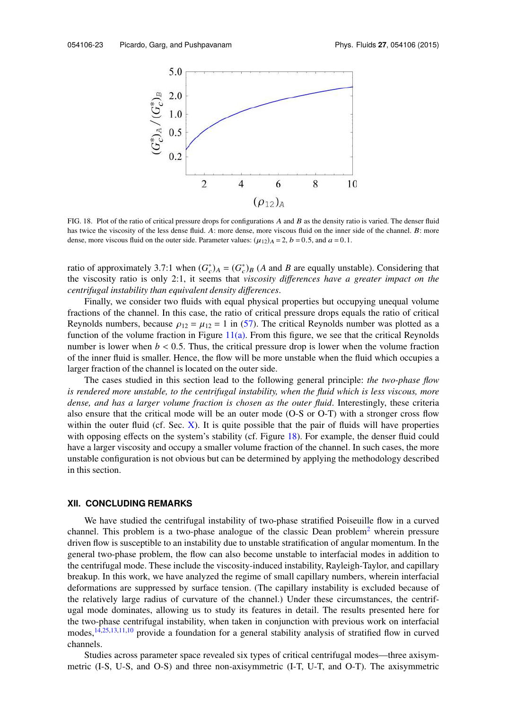

FIG. 18. Plot of the ratio of critical pressure drops for configurations A and B as the density ratio is varied. The denser fluid has twice the viscosity of the less dense fluid. A: more dense, more viscous fluid on the inner side of the channel. B: more dense, more viscous fluid on the outer side. Parameter values:  $(\mu_{12})_A = 2$ ,  $b = 0.5$ , and  $a = 0.1$ .

ratio of approximately 3.7:1 when  $(G_c^*)_A = (G_c^*)_B$  (*A* and *B* are equally unstable). Considering that the viscosity ratio is only 2:1, it seems that *viscosity di*ff*erences have a greater impact on the centrifugal instability than equivalent density di*ff*erences*.

Finally, we consider two fluids with equal physical properties but occupying unequal volume fractions of the channel. In this case, the ratio of critical pressure drops equals the ratio of critical Reynolds numbers, because  $\rho_{12} = \mu_{12} = 1$  in (57). The critical Reynolds number was plotted as a function of the volume fraction in Figure  $11(a)$ . From this figure, we see that the critical Reynolds number is lower when  $b < 0.5$ . Thus, the critical pressure drop is lower when the volume fraction of the inner fluid is smaller. Hence, the flow will be more unstable when the fluid which occupies a larger fraction of the channel is located on the outer side.

The cases studied in this section lead to the following general principle: *the two-phase flow is rendered more unstable, to the centrifugal instability, when the fluid which is less viscous, more dense, and has a larger volume fraction is chosen as the outer fluid*. Interestingly, these criteria also ensure that the critical mode will be an outer mode (O-S or O-T) with a stronger cross flow within the outer fluid (cf. Sec.  $X$ ). It is quite possible that the pair of fluids will have properties with opposing effects on the system's stability (cf. Figure 18). For example, the denser fluid could have a larger viscosity and occupy a smaller volume fraction of the channel. In such cases, the more unstable configuration is not obvious but can be determined by applying the methodology described in this section.

## **XII. CONCLUDING REMARKS**

We have studied the centrifugal instability of two-phase stratified Poiseuille flow in a curved channel. This problem is a two-phase analogue of the classic Dean problem<sup>2</sup> wherein pressure driven flow is susceptible to an instability due to unstable stratification of angular momentum. In the general two-phase problem, the flow can also become unstable to interfacial modes in addition to the centrifugal mode. These include the viscosity-induced instability, Rayleigh-Taylor, and capillary breakup. In this work, we have analyzed the regime of small capillary numbers, wherein interfacial deformations are suppressed by surface tension. (The capillary instability is excluded because of the relatively large radius of curvature of the channel.) Under these circumstances, the centrifugal mode dominates, allowing us to study its features in detail. The results presented here for the two-phase centrifugal instability, when taken in conjunction with previous work on interfacial modes,<sup>14,25,13,11,10</sup> provide a foundation for a general stability analysis of stratified flow in curved channels.

Studies across parameter space revealed six types of critical centrifugal modes—three axisymmetric (I-S, U-S, and O-S) and three non-axisymmetric (I-T, U-T, and O-T). The axisymmetric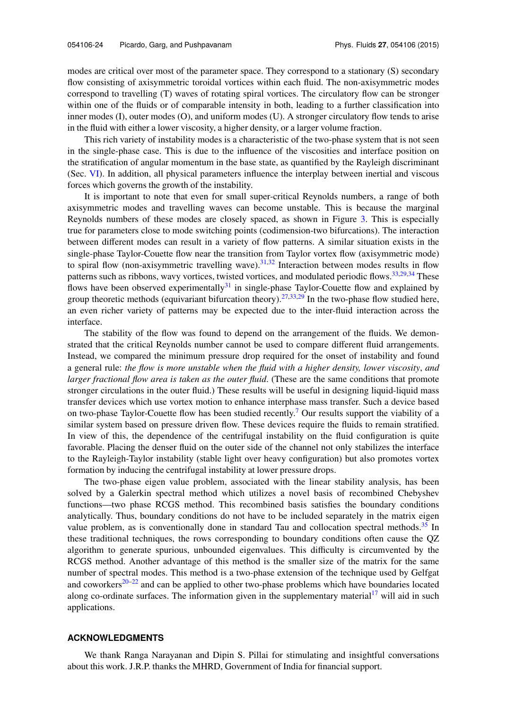modes are critical over most of the parameter space. They correspond to a stationary (S) secondary flow consisting of axisymmetric toroidal vortices within each fluid. The non-axisymmetric modes correspond to travelling (T) waves of rotating spiral vortices. The circulatory flow can be stronger within one of the fluids or of comparable intensity in both, leading to a further classification into inner modes (I), outer modes (O), and uniform modes (U). A stronger circulatory flow tends to arise in the fluid with either a lower viscosity, a higher density, or a larger volume fraction.

This rich variety of instability modes is a characteristic of the two-phase system that is not seen in the single-phase case. This is due to the influence of the viscosities and interface position on the stratification of angular momentum in the base state, as quantified by the Rayleigh discriminant (Sec. VI). In addition, all physical parameters influence the interplay between inertial and viscous forces which governs the growth of the instability.

It is important to note that even for small super-critical Reynolds numbers, a range of both axisymmetric modes and travelling waves can become unstable. This is because the marginal Reynolds numbers of these modes are closely spaced, as shown in Figure 3. This is especially true for parameters close to mode switching points (codimension-two bifurcations). The interaction between different modes can result in a variety of flow patterns. A similar situation exists in the single-phase Taylor-Couette flow near the transition from Taylor vortex flow (axisymmetric mode) to spiral flow (non-axisymmetric travelling wave).<sup>31,32</sup> Interaction between modes results in flow patterns such as ribbons, wavy vortices, twisted vortices, and modulated periodic flows.<sup>33,29,34</sup> These flows have been observed experimentally<sup>31</sup> in single-phase Taylor-Couette flow and explained by group theoretic methods (equivariant bifurcation theory).<sup>27,33,29</sup> In the two-phase flow studied here, an even richer variety of patterns may be expected due to the inter-fluid interaction across the interface.

The stability of the flow was found to depend on the arrangement of the fluids. We demonstrated that the critical Reynolds number cannot be used to compare different fluid arrangements. Instead, we compared the minimum pressure drop required for the onset of instability and found a general rule: *the flow is more unstable when the fluid with a higher density, lower viscosity*, *and larger fractional flow area is taken as the outer fluid*. (These are the same conditions that promote stronger circulations in the outer fluid.) These results will be useful in designing liquid-liquid mass transfer devices which use vortex motion to enhance interphase mass transfer. Such a device based on two-phase Taylor-Couette flow has been studied recently.<sup>7</sup> Our results support the viability of a similar system based on pressure driven flow. These devices require the fluids to remain stratified. In view of this, the dependence of the centrifugal instability on the fluid configuration is quite favorable. Placing the denser fluid on the outer side of the channel not only stabilizes the interface to the Rayleigh-Taylor instability (stable light over heavy configuration) but also promotes vortex formation by inducing the centrifugal instability at lower pressure drops.

The two-phase eigen value problem, associated with the linear stability analysis, has been solved by a Galerkin spectral method which utilizes a novel basis of recombined Chebyshev functions—two phase RCGS method. This recombined basis satisfies the boundary conditions analytically. Thus, boundary conditions do not have to be included separately in the matrix eigen value problem, as is conventionally done in standard Tau and collocation spectral methods.<sup>35</sup> In these traditional techniques, the rows corresponding to boundary conditions often cause the QZ algorithm to generate spurious, unbounded eigenvalues. This difficulty is circumvented by the RCGS method. Another advantage of this method is the smaller size of the matrix for the same number of spectral modes. This method is a two-phase extension of the technique used by Gelfgat and coworkers<sup>20–22</sup> and can be applied to other two-phase problems which have boundaries located along co-ordinate surfaces. The information given in the supplementary material<sup>17</sup> will aid in such applications.

## **ACKNOWLEDGMENTS**

We thank Ranga Narayanan and Dipin S. Pillai for stimulating and insightful conversations about this work. J.R.P. thanks the MHRD, Government of India for financial support.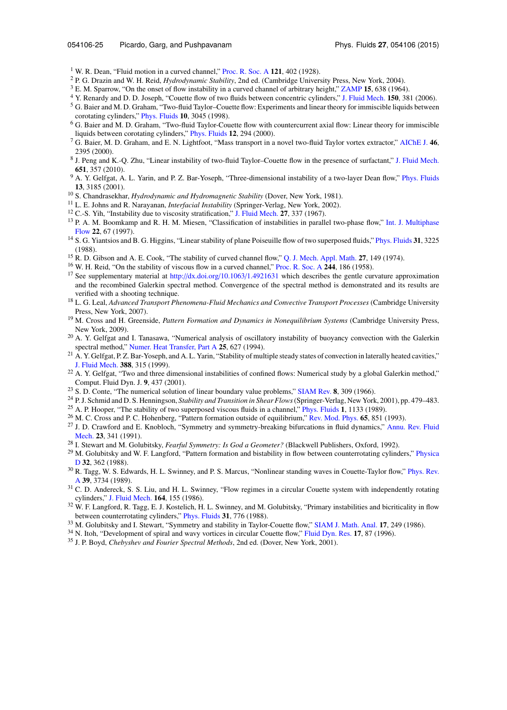- <sup>1</sup> W. R. Dean, "Fluid motion in a curved channel," Proc. R. Soc. A 121, 402 (1928).
- <sup>2</sup> P. G. Drazin and W. H. Reid, *Hydrodynamic Stability*, 2nd ed. (Cambridge University Press, New York, 2004).
- <sup>3</sup> E. M. Sparrow, "On the onset of flow instability in a curved channel of arbitrary height," ZAMP 15, 638 (1964).
- <sup>4</sup> Y. Renardy and D. D. Joseph, "Couette flow of two fluids between concentric cylinders," J. Fluid Mech. 150, 381 (2006). <sup>5</sup> G. Baier and M. D. Graham, "Two-fluid Taylor–Couette flow: Experiments and linear theory for immiscible liquids between
- corotating cylinders," Phys. Fluids 10, 3045 (1998).
- <sup>6</sup> G. Baier and M. D. Graham, "Two-fluid Taylor-Couette flow with countercurrent axial flow: Linear theory for immiscible liquids between corotating cylinders," Phys. Fluids 12, 294 (2000).
- $^7$  G. Baier, M. D. Graham, and E. N. Lightfoot, "Mass transport in a novel two-fluid Taylor vortex extractor," AIChE J. 46, 2395 (2000).
- 8 J. Peng and K.-Q. Zhu, "Linear instability of two-fluid Taylor–Couette flow in the presence of surfactant," J. Fluid Mech. 651, 357 (2010).
- <sup>9</sup> A. Y. Gelfgat, A. L. Yarin, and P. Z. Bar-Yoseph, "Three-dimensional instability of a two-layer Dean flow," Phys. Fluids 13, 3185 (2001).
- <sup>10</sup> S. Chandrasekhar, *Hydrodynamic and Hydromagnetic Stability* (Dover, New York, 1981).
- <sup>11</sup> L. E. Johns and R. Narayanan, *Interfacial Instability* (Springer-Verlag, New York, 2002).
- $12$  C.-S. Yih, "Instability due to viscosity stratification," J. Fluid Mech. 27, 337 (1967).
- <sup>13</sup> P. A. M. Boomkamp and R. H. M. Miesen, "Classification of instabilities in parallel two-phase flow," Int. J. Multiphase Flow 22, 67 (1997).
- <sup>14</sup> S. G. Yiantsios and B. G. Higgins, "Linear stability of plane Poiseuille flow of two superposed fluids," Phys. Fluids 31, 3225 (1988).
- <sup>15</sup> R. D. Gibson and A. E. Cook, "The stability of curved channel flow," Q. J. Mech. Appl. Math. **27**, 149 (1974).
- <sup>16</sup> W. H. Reid, "On the stability of viscous flow in a curved channel," Proc. R. Soc. A 244, 186 (1958).
- <sup>17</sup> See supplementary material at http://dx.doi.org/10.1063/1.4921631 which describes the gentle curvature approximation and the recombined Galerkin spectral method. Convergence of the spectral method is demonstrated and its results are verified with a shooting technique.
- <sup>18</sup> L. G. Leal, *Advanced Transport Phenomena-Fluid Mechanics and Convective Transport Processes* (Cambridge University Press, New York, 2007).
- <sup>19</sup> M. Cross and H. Greenside, *Pattern Formation and Dynamics in Nonequilibrium Systems* (Cambridge University Press, New York, 2009).
- <sup>20</sup> A. Y. Gelfgat and I. Tanasawa, "Numerical analysis of oscillatory instability of buoyancy convection with the Galerkin spectral method," Numer. Heat Transfer, Part A 25, 627 (1994).
- $^{21}$  A. Y. Gelfgat, P. Z. Bar-Yoseph, and A. L. Yarin, "Stability of multiple steady states of convection in laterally heated cavities," J. Fluid Mech. 388, 315 (1999).
- <sup>22</sup> A. Y. Gelfgat, "Two and three dimensional instabilities of confined flows: Numerical study by a global Galerkin method," Comput. Fluid Dyn. J. 9, 437 (2001).
- $23$  S. D. Conte, "The numerical solution of linear boundary value problems," SIAM Rev. 8, 309 (1966).
- <sup>24</sup> P. J. Schmid and D. S. Henningson, *Stability and Transition in Shear Flows*(Springer-Verlag, New York, 2001), pp. 479–483.
- <sup>25</sup> A. P. Hooper, "The stability of two superposed viscous fluids in a channel," Phys. Fluids 1, 1133 (1989).
- <sup>26</sup> M. C. Cross and P. C. Hohenberg, "Pattern formation outside of equilibrium," Rev. Mod. Phys. **65**, 851 (1993).
- <sup>27</sup> J. D. Crawford and E. Knobloch, "Symmetry and symmetry-breaking bifurcations in fluid dynamics," Annu. Rev. Fluid Mech. 23, 341 (1991).
- <sup>28</sup> I. Stewart and M. Golubitsky, *Fearful Symmetry: Is God a Geometer?* (Blackwell Publishers, Oxford, 1992).
- $29$  M. Golubitsky and W. F. Langford, "Pattern formation and bistability in flow between counterrotating cylinders," Physica D 32, 362 (1988).
- <sup>30</sup> R. Tagg, W. S. Edwards, H. L. Swinney, and P. S. Marcus, "Nonlinear standing waves in Couette-Taylor flow," Phys. Rev. A 39, 3734 (1989).
- <sup>31</sup> C. D. Andereck, S. S. Liu, and H. L. Swinney, "Flow regimes in a circular Couette system with independently rotating cylinders," J. Fluid Mech. 164, 155 (1986).
- $32$  W. F. Langford, R. Tagg, E. J. Kostelich, H. L. Swinney, and M. Golubitsky, "Primary instabilities and bicriticality in flow between counterrotating cylinders," Phys. Fluids 31, 776 (1988).
- <sup>33</sup> M. Golubitsky and I. Stewart, "Symmetry and stability in Taylor-Couette flow," SIAM J. Math. Anal. 17, 249 (1986).
- <sup>34</sup> N. Itoh, "Development of spiral and wavy vortices in circular Couette flow," Fluid Dyn. Res. 17, 87 (1996).
- <sup>35</sup> J. P. Boyd, *Chebyshev and Fourier Spectral Methods*, 2nd ed. (Dover, New York, 2001).